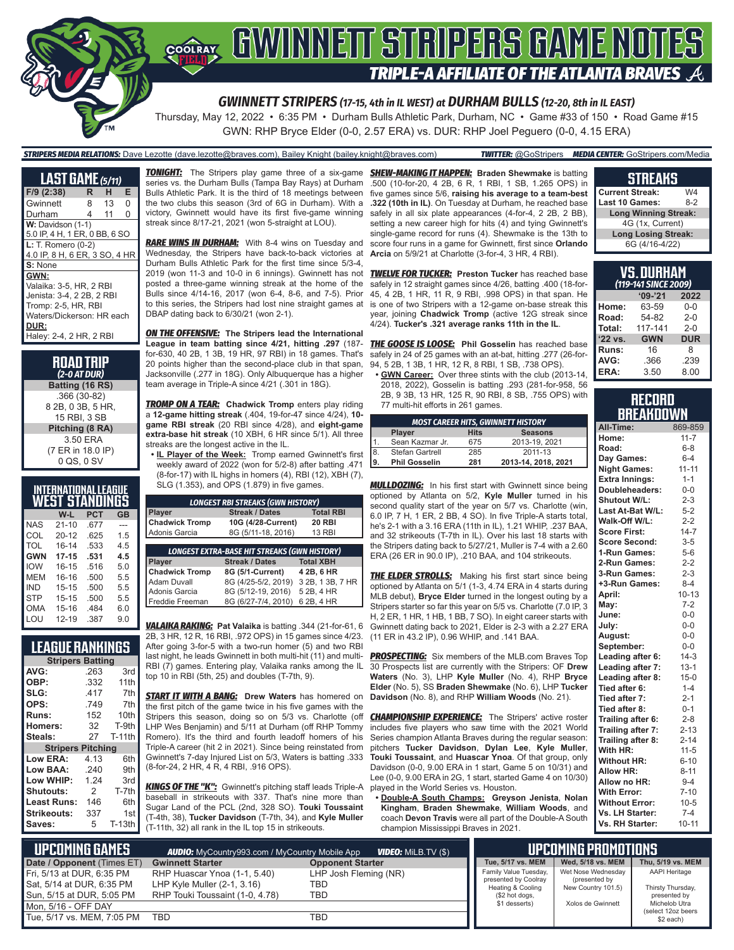

*GWINNETT STRIPERS (17-15, 4th in IL WEST) at DURHAM BULLS (12-20, 8th in IL EAST)*

Thursday, May 12, 2022 • 6:35 PM • Durham Bulls Athletic Park, Durham, NC • Game #33 of 150 • Road Game #15 GWN: RHP Bryce Elder (0-0, 2.57 ERA) vs. DUR: RHP Joel Peguero (0-0, 4.15 ERA)

### *STRIPERS MEDIA RELATIONS:* Dave Lezotte (dave.lezotte@braves.com), Bailey Knight (bailey.knight@braves.com) *TWITTER:* @GoStripers *MEDIA CENTER:* GoStripers.com/Media

**LAST GAME** *(5/11)* **F/9 (2:38) R H E Gwinnett** Durham 4 11 0 **W:** Davidson (1-1) 5.0 IP, 4 H, 1 ER, 0 BB, 6 SO **L:** T. Romero (0-2) 4.0 IP, 8 H, 6 ER, 3 SO, 4 HR **S:** None **GWN:** Valaika: 3-5, HR, 2 RBI Jenista: 3-4, 2 2B, 2 RBI Tromp: 2-5, HR, RBI Waters/Dickerson: HR each **DUR:** Haley: 2-4, 2 HR, 2 RBI

> **ROAD TRIP** *(2-0 AT DUR)* **Batting (16 RS)** .366 (30-82) 8 2B, 0 3B, 5 HR, 15 RBI, 3 SB **Pitching (8 RA)** 3.50 ERA (7 ER in 18.0 IP) 0 QS, 0 SV

|            | INTERNATIONAL LEAGUE<br><u>WEST STANDINGS</u> |            |           |
|------------|-----------------------------------------------|------------|-----------|
|            | W-L                                           | <b>PCT</b> | <b>GB</b> |
| <b>NAS</b> | $21 - 10$                                     | .677       |           |
| COL        | $20 - 12$                                     | .625       | 1.5       |
| TOL        | $16 - 14$                                     | .533       | 4.5       |
| <b>GWN</b> | $17 - 15$                                     | .531       | 4.5       |
| <b>IOW</b> | $16 - 15$                                     | .516       | 5.0       |
| MEM        | 16-16                                         | .500       | 5.5       |
| IND        | $15 - 15$                                     | .500       | 5.5       |
| <b>STP</b> | $15 - 15$                                     | .500       | 5.5       |
| OMA        | 15-16                                         | .484       | 6.0       |
| LOU        | $12 - 19$                                     | .387       | 9.0       |

## **LEAGUE RANKINGS**

| <b>Stripers Batting</b>  |      |               |  |  |  |  |
|--------------------------|------|---------------|--|--|--|--|
| AVG:                     | .263 | 3rd           |  |  |  |  |
| OBP:                     | .332 | 11th          |  |  |  |  |
| SLG:                     | .417 | 7th           |  |  |  |  |
| OPS:                     | .749 | 7th           |  |  |  |  |
| Runs:                    | 152  | 10th          |  |  |  |  |
| Homers:                  | 32   | T-9th         |  |  |  |  |
| Steals:                  | 27   | <b>T-11th</b> |  |  |  |  |
| <b>Stripers Pitching</b> |      |               |  |  |  |  |
| Low ERA:                 | 4.13 | 6th           |  |  |  |  |
| Low BAA:                 | .240 | 9th           |  |  |  |  |
| Low WHIP:                | 1.24 | 3rd           |  |  |  |  |
| <b>Shutouts:</b>         | 2    | T-7th         |  |  |  |  |
| Least Runs:              | 146  | 6th           |  |  |  |  |
| Strikeouts:              | 337  | 1st           |  |  |  |  |
| Saves:                   | 5    | <b>T-13th</b> |  |  |  |  |

**TONIGHT:** The Stripers play game three of a six-game series vs. the Durham Bulls (Tampa Bay Rays) at Durham Bulls Athletic Park. It is the third of 18 meetings between the two clubs this season (3rd of 6G in Durham). With a victory, Gwinnett would have its first five-game winning streak since 8/17-21, 2021 (won 5-straight at LOU).

**RARE WINS IN DURHAM:** With 8-4 wins on Tuesday and Wednesday, the Stripers have back-to-back victories at Durham Bulls Athletic Park for the first time since 5/3-4, 2019 (won 11-3 and 10-0 in 6 innings). Gwinnett has not posted a three-game winning streak at the home of the Bulls since 4/14-16, 2017 (won 6-4, 8-6, and 7-5). Prior to this series, the Stripers had lost nine straight games at DBAP dating back to 6/30/21 (won 2-1).

*ON THE OFFENSIVE:* **The Stripers lead the International League in team batting since 4/21, hitting .297** (187 for-630, 40 2B, 1 3B, 19 HR, 97 RBI) in 18 games. That's 20 points higher than the second-place club in that span, Jacksonville (.277 in 18G). Only Albuquerque has a higher team average in Triple-A since 4/21 (.301 in 18G).

**TROMP ON A TEAR:** Chadwick Tromp enters play riding a **12-game hitting streak** (.404, 19-for-47 since 4/24), **10 game RBI streak** (20 RBI since 4/28), and **eight-game extra-base hit streak** (10 XBH, 6 HR since 5/1). All three streaks are the longest active in the IL.

**• IL Player of the Week:** Tromp earned Gwinnett's first weekly award of 2022 (won for 5/2-8) after batting .471 (8-for-17) with IL highs in homers (4), RBI (12), XBH (7), SLG (1.353), and OPS (1.879) in five games.

| <b>LONGEST RBI STREAKS (GWN HISTORY)</b> |                                                     |                  |  |  |  |  |
|------------------------------------------|-----------------------------------------------------|------------------|--|--|--|--|
| Player                                   | <b>Streak / Dates</b>                               | <b>Total RBI</b> |  |  |  |  |
| <b>Chadwick Tromp</b>                    | 10G (4/28-Current)                                  | <b>20 RBI</b>    |  |  |  |  |
| Adonis Garcia                            | 8G (5/11-18, 2016)                                  | <b>13 RBI</b>    |  |  |  |  |
|                                          |                                                     |                  |  |  |  |  |
|                                          | <b>LONGEST EXTRA-BASE HIT STREAKS (GWN HISTORY)</b> |                  |  |  |  |  |
| Player                                   | Streak / Dates                                      | <b>Total XBH</b> |  |  |  |  |
| <b>Chadwick Tromp</b>                    | 8G (5/1-Current)                                    | 4 2B, 6 HR       |  |  |  |  |
| Adam Duvall                              | 8G (4/25-5/2, 2019)                                 | 3 2B, 1 3B, 7 HR |  |  |  |  |
| Adonis Garcia                            | 8G (5/12-19, 2016)                                  | 5 2B, 4 HR       |  |  |  |  |
| Freddie Freeman                          | 8G (6/27-7/4, 2010)                                 | 6 2B, 4 HR       |  |  |  |  |

*VALAIKA RAKING:* **Pat Valaika** is batting .344 (21-for-61, 6 2B, 3 HR, 12 R, 16 RBI, .972 OPS) in 15 games since 4/23. After going 3-for-5 with a two-run homer (5) and two RBI last night, he leads Gwinnett in both multi-hit (11) and multi-RBI (7) games. Entering play, Valaika ranks among the IL top 10 in RBI (5th, 25) and doubles (T-7th, 9).

*START IT WITH A BANG:* Drew Waters has homered on the first pitch of the game twice in his five games with the Stripers this season, doing so on 5/3 vs. Charlotte (off LHP Wes Benjamin) and 5/11 at Durham (off RHP Tommy Romero). It's the third and fourth leadoff homers of his Triple-A career (hit 2 in 2021). Since being reinstated from Gwinnett's 7-day Injured List on 5/3, Waters is batting .333 (8-for-24, 2 HR, 4 R, 4 RBI, .916 OPS).

*KINGS OF THE "K":* Gwinnett's pitching staff leads Triple-A baseball in strikeouts with 337. That's nine more than Sugar Land of the PCL (2nd, 328 SO). **Touki Toussaint** (T-4th, 38), **Tucker Davidson** (T-7th, 34), and **Kyle Muller** (T-11th, 32) all rank in the IL top 15 in strikeouts.

*SHEW-MAKING IT HAPPEN:* **Braden Shewmake** is batting .500 (10-for-20, 4 2B, 6 R, 1 RBI, 1 SB, 1.265 OPS) in five games since 5/6, **raising his average to a team-best .322 (10th in IL)**. On Tuesday at Durham, he reached base safely in all six plate appearances (4-for-4, 2 2B, 2 BB), setting a new career high for hits (4) and tying Gwinnett's single-game record for runs (4). Shewmake is the 13th to score four runs in a game for Gwinnett, first since **Orlando Arcia** on 5/9/21 at Charlotte (3-for-4, 3 HR, 4 RBI).

*TWELVE FOR TUCKER:* **Preston Tucker** has reached base safely in 12 straight games since 4/26, batting .400 (18-for-45, 4 2B, 1 HR, 11 R, 9 RBI, .998 OPS) in that span. He is one of two Stripers with a 12-game on-base streak this year, joining **Chadwick Tromp** (active 12G streak since 4/24). **Tucker's .321 average ranks 11th in the IL**.

*THE GOOSE IS LOOSE:* **Phil Gosselin** has reached base safely in 24 of 25 games with an at-bat, hitting .277 (26-for-94, 5 2B, 1 3B, 1 HR, 12 R, 8 RBI, 1 SB, .738 OPS).

**• GWN Career:** Over three stints with the club (2013-14, 2018, 2022), Gosselin is batting .293 (281-for-958, 56 2B, 9 3B, 13 HR, 125 R, 90 RBI, 8 SB, .755 OPS) with 77 multi-hit efforts in 261 games.

| <b>MOST CAREER HITS, GWINNETT HISTORY</b> |                      |             |                     |  |  |  |
|-------------------------------------------|----------------------|-------------|---------------------|--|--|--|
|                                           | <b>Player</b>        | <b>Hits</b> | <b>Seasons</b>      |  |  |  |
|                                           | Sean Kazmar Jr.      | 675         | 2013-19, 2021       |  |  |  |
| $\sqrt{8}$                                | Stefan Gartrell      | 285         | 2011-13             |  |  |  |
| l9                                        | <b>Phil Gosselin</b> | 281         | 2013-14, 2018, 2021 |  |  |  |

*MULLDOZING:* In his first start with Gwinnett since being optioned by Atlanta on 5/2, **Kyle Muller** turned in his second quality start of the year on 5/7 vs. Charlotte (win, 6.0 IP, 7 H, 1 ER, 2 BB, 4 SO). In five Triple-A starts total, he's 2-1 with a 3.16 ERA (11th in IL), 1.21 WHIP, .237 BAA, and 32 strikeouts (T-7th in IL). Over his last 18 starts with the Stripers dating back to 5/27/21, Muller is 7-4 with a 2.60 ERA (26 ER in 90.0 IP), .210 BAA, and 104 strikeouts.

**THE ELDER STROLLS:** Making his first start since being optioned by Atlanta on 5/1 (1-3, 4.74 ERA in 4 starts during MLB debut), **Bryce Elder** turned in the longest outing by a Stripers starter so far this year on 5/5 vs. Charlotte (7.0 IP, 3 H, 2 ER, 1 HR, 1 HB, 1 BB, 7 SO). In eight career starts with Gwinnett dating back to 2021, Elder is 2-3 with a 2.27 ERA (11 ER in 43.2 IP), 0.96 WHIP, and .141 BAA.

**PROSPECTING:** Six members of the MLB.com Braves Top 30 Prospects list are currently with the Stripers: OF **Drew Waters** (No. 3), LHP **Kyle Muller** (No. 4), RHP **Bryce Elder** (No. 5), SS **Braden Shewmake** (No. 6), LHP **Tucker Davidson** (No. 8), and RHP **William Woods** (No. 21).

**CHAMPIONSHIP EXPERIENCE:** The Stripers' active roster includes five players who saw time with the 2021 World Series champion Atlanta Braves during the regular season: pitchers **Tucker Davidson**, **Dylan Lee**, **Kyle Muller**, **Touki Toussaint**, and **Huascar Ynoa**. Of that group, only Davidson (0-0, 9.00 ERA in 1 start, Game 5 on 10/31) and Lee (0-0, 9.00 ERA in 2G, 1 start, started Game 4 on 10/30) played in the World Series vs. Houston.

**• Double-A South Champs: Greyson Jenista**, **Nolan Kingham**, **Braden Shewmake**, **William Woods**, and coach **Devon Travis** were all part of the Double-A South champion Mississippi Braves in 2021.

#### **STREAKS Current Streak:** W4

| $9411911$                   |       |
|-----------------------------|-------|
| Last 10 Games:              | $8-2$ |
| <b>Long Winning Streak:</b> |       |
| 4G (1x, Current)            |       |
| <b>Long Losing Streak:</b>  |       |
| 6G (4/16-4/22)              |       |

| VS. DURHAM<br>(119-141 SINCE 2009) |            |            |  |  |  |
|------------------------------------|------------|------------|--|--|--|
| $'09-'21$<br>2022                  |            |            |  |  |  |
| Home:                              | 63-59      | $0 - 0$    |  |  |  |
| Road:                              | 54-82      | $2 - 0$    |  |  |  |
| Total:                             | 117-141    | $2 - 0$    |  |  |  |
| '22 vs.                            | <b>GWN</b> | <b>DUR</b> |  |  |  |
| Runs:                              | 16         | 8          |  |  |  |
| AVG:                               | .366       | .239       |  |  |  |
| ERA:                               | 3.50       | 8.00       |  |  |  |

#### **RECORD BREAKDOWN**

| All-Time:             | 869-859   |
|-----------------------|-----------|
| Home:                 | $11 - 7$  |
| Road:                 | $6 - 8$   |
| Day Games:            | $6 - 4$   |
| <b>Night Games:</b>   | $11 - 11$ |
| <b>Extra Innings:</b> | $1 - 1$   |
| Doubleheaders:        | $0-0$     |
| <b>Shutout W/L:</b>   | $2 - 3$   |
| Last At-Bat W/L:      | $5 - 2$   |
| Walk-Off W/L:         | $2 - 2$   |
| <b>Score First:</b>   | $14 - 7$  |
| <b>Score Second:</b>  | $3 - 5$   |
| 1-Run Games:          | $5-6$     |
| 2-Run Games:          | $2 - 2$   |
| 3-Run Games:          | $2 - 3$   |
| +3-Run Games:         | $8 - 4$   |
| April:                | $10 - 13$ |
| May:                  | $7-2$     |
| June:                 | $0-0$     |
| July:                 | $0-0$     |
| August:               | $0 - 0$   |
| September:            | $0-0$     |
| Leading after 6:      | $14-3$    |
| Leading after 7:      | $13 - 1$  |
| Leading after 8:      | $15 - 0$  |
| Tied after 6:         | $1 - 4$   |
| Tied after 7:         | $2 - 1$   |
| Tied after 8:         | $0 - 1$   |
| Trailing after 6:     | $2 - 8$   |
| Trailing after 7:     | $2 - 13$  |
| Trailing after 8:     | $2 - 14$  |
| With HR:              | $11 - 5$  |
| <b>Without HR:</b>    | $6 - 10$  |
| <b>Allow HR:</b>      | $8 - 11$  |
| Allow no HR:          | $9 - 4$   |
| <b>With Error:</b>    | $7 - 10$  |
| <b>Without Error:</b> | $10 - 5$  |
| Vs. LH Starter:       | $7 - 4$   |
| Vs. RH Starter:       | $10 - 11$ |

| L UPCOMING GAMES I         | <b>AUDIO:</b> MyCountry993.com / MyCountry Mobile App<br><b>VIDEO:</b> MILB.TV (\$) |                         |                                           | <b>UPCOMING PROMOTIONS</b>          |                                     |  |  |
|----------------------------|-------------------------------------------------------------------------------------|-------------------------|-------------------------------------------|-------------------------------------|-------------------------------------|--|--|
| Date / Opponent (Times ET) | <b>Gwinnett Starter</b>                                                             | <b>Opponent Starter</b> | Tue, 5/17 vs. MEM                         | Wed. 5/18 vs. MEM                   | Thu, 5/19 vs. MEM                   |  |  |
| Fri, 5/13 at DUR, 6:35 PM  | RHP Huascar Ynoa (1-1, 5.40)                                                        | LHP Josh Fleming (NR)   | Family Value Tuesday,                     | Wet Nose Wednesday                  | <b>AAPI Heritage</b>                |  |  |
| Sat, 5/14 at DUR, 6:35 PM  | LHP Kyle Muller $(2-1, 3.16)$                                                       | TBD                     | presented by Coolray<br>Heating & Cooling | (presented by<br>New Country 101.5) | Thirsty Thursday,                   |  |  |
| Sun, 5/15 at DUR, 5:05 PM  | RHP Touki Toussaint (1-0, 4.78)                                                     | TBD                     | (\$2 hot dogs,                            |                                     | presented by                        |  |  |
| Mon. 5/16 - OFF DAY        |                                                                                     |                         | \$1 desserts)                             | Xolos de Gwinnett                   | Michelob Utra<br>(select 12oz beers |  |  |
| Tue, 5/17 vs. MEM, 7:05 PM | TBD                                                                                 | TBD                     |                                           |                                     | \$2 each)                           |  |  |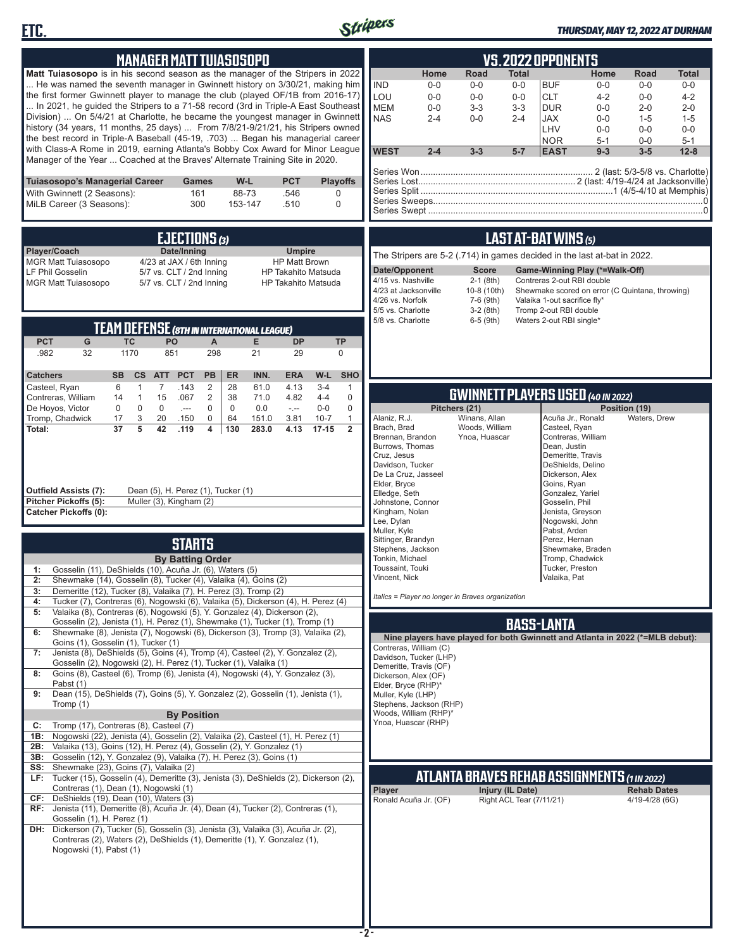



# *THURSDAY, MAY 12, 2022 AT DURHAM*

| <b>MANAGER MATT TUIASOSOPO</b>                                                                                                                                                                                                                                                                                                                                                                                                                                                                                                                                                                                                                                                                                                                                                                                                                                                                                                                                                                                                                                                                                                                                                                                                                                                                                                                                                                                                                                                                                                                                                                                                                                                                                                                                                                                                                                                           | <b>VS.2022 OPPONENTS</b>                                                                                                                                                                                                                                                                                                                                                                                                                                                                                                                                                                                                                                                                                                                                                                                                                                                                                                                                                                                                                                                                                                                                                                                                                                                                                 |
|------------------------------------------------------------------------------------------------------------------------------------------------------------------------------------------------------------------------------------------------------------------------------------------------------------------------------------------------------------------------------------------------------------------------------------------------------------------------------------------------------------------------------------------------------------------------------------------------------------------------------------------------------------------------------------------------------------------------------------------------------------------------------------------------------------------------------------------------------------------------------------------------------------------------------------------------------------------------------------------------------------------------------------------------------------------------------------------------------------------------------------------------------------------------------------------------------------------------------------------------------------------------------------------------------------------------------------------------------------------------------------------------------------------------------------------------------------------------------------------------------------------------------------------------------------------------------------------------------------------------------------------------------------------------------------------------------------------------------------------------------------------------------------------------------------------------------------------------------------------------------------------|----------------------------------------------------------------------------------------------------------------------------------------------------------------------------------------------------------------------------------------------------------------------------------------------------------------------------------------------------------------------------------------------------------------------------------------------------------------------------------------------------------------------------------------------------------------------------------------------------------------------------------------------------------------------------------------------------------------------------------------------------------------------------------------------------------------------------------------------------------------------------------------------------------------------------------------------------------------------------------------------------------------------------------------------------------------------------------------------------------------------------------------------------------------------------------------------------------------------------------------------------------------------------------------------------------|
| Matt Tuiasosopo is in his second season as the manager of the Stripers in 2022<br>He was named the seventh manager in Gwinnett history on 3/30/21, making him<br>the first former Gwinnett player to manage the club (played OF/1B from 2016-17)<br>In 2021, he guided the Stripers to a 71-58 record (3rd in Triple-A East Southeast<br>Division)  On 5/4/21 at Charlotte, he became the youngest manager in Gwinnett<br>history (34 years, 11 months, 25 days)  From 7/8/21-9/21/21, his Stripers owned<br>the best record in Triple-A Baseball (45-19, .703)  Began his managerial career<br>with Class-A Rome in 2019, earning Atlanta's Bobby Cox Award for Minor League<br>Manager of the Year  Coached at the Braves' Alternate Training Site in 2020.                                                                                                                                                                                                                                                                                                                                                                                                                                                                                                                                                                                                                                                                                                                                                                                                                                                                                                                                                                                                                                                                                                                            | Road<br>Home<br><b>Total</b><br>Home<br>Road<br><b>Total</b><br><b>IND</b><br><b>BUF</b><br>$0 - 0$<br>$0-0$<br>$0-0$<br>$0-0$<br>$0-0$<br>$0-0$<br>LOU<br><b>CLT</b><br>$0-0$<br>$0-0$<br>$0-0$<br>$4 - 2$<br>$0-0$<br>$4 - 2$<br><b>MEM</b><br>$0-0$<br>$3 - 3$<br>$3 - 3$<br><b>DUR</b><br>$0-0$<br>$2 - 0$<br>$2 - 0$<br><b>NAS</b><br>$2 - 4$<br>$2 - 4$<br><b>JAX</b><br>$0-0$<br>$0-0$<br>$1 - 5$<br>$1 - 5$<br>LHV<br>$0-0$<br>$0-0$<br>$0-0$<br><b>NOR</b><br>$5 - 1$<br>$0-0$<br>$5 - 1$<br><b>WEST</b><br>$2 - 4$<br>$3 - 3$<br>$5-7$<br><b>EAST</b><br>$9 - 3$<br>$3 - 5$<br>$12 - 8$                                                                                                                                                                                                                                                                                                                                                                                                                                                                                                                                                                                                                                                                                                        |
| Tuiasosopo's Managerial Career<br>W-L<br><b>PCT</b><br><b>Playoffs</b><br>Games<br>With Gwinnett (2 Seasons):<br>161<br>88-73<br>.546<br>$\Omega$<br>MiLB Career (3 Seasons):<br>300<br>153-147<br>.510<br>$\mathbf 0$                                                                                                                                                                                                                                                                                                                                                                                                                                                                                                                                                                                                                                                                                                                                                                                                                                                                                                                                                                                                                                                                                                                                                                                                                                                                                                                                                                                                                                                                                                                                                                                                                                                                   |                                                                                                                                                                                                                                                                                                                                                                                                                                                                                                                                                                                                                                                                                                                                                                                                                                                                                                                                                                                                                                                                                                                                                                                                                                                                                                          |
| EJECTIONS (3)<br>Player/Coach<br>Date/Inning<br><b>Umpire</b><br><b>MGR Matt Tuiasosopo</b><br>4/23 at JAX / 6th Inning<br><b>HP Matt Brown</b><br>LF Phil Gosselin<br>5/7 vs. CLT / 2nd Inning<br><b>HP Takahito Matsuda</b><br><b>MGR Matt Tuiasosopo</b><br>5/7 vs. CLT / 2nd Inning<br><b>HP Takahito Matsuda</b><br><b>TEAM DEFENSE (8TH IN INTERNATIONAL LEAGUE)</b><br><b>PCT</b><br>G<br><b>TC</b><br>PO<br>E.<br><b>DP</b><br>$\mathsf{A}$<br><b>TP</b><br>298<br>.982<br>32<br>1170<br>851<br>21<br>29<br>0<br><b>PCT</b><br>PB<br><b>ER</b><br>INN.<br>W-L<br><b>SHO</b><br><b>Catchers</b><br><b>SB</b><br>cs<br><b>ATT</b><br><b>ERA</b><br>Casteel, Ryan<br>6<br>$\mathbf{1}$<br>$\overline{7}$<br>2<br>28<br>61.0<br>$3 - 4$<br>.143<br>4.13<br>$\mathbf{1}$<br>$\overline{2}$<br>$\mathbf{1}$<br>15<br>38<br>71.0<br>$4 - 4$<br>0<br>Contreras, William<br>14<br>.067<br>4.82<br>$\mathbf 0$<br>$\mathsf 0$<br>De Hoyos, Victor<br>0<br>$\mathbf 0$<br>$\mathbf 0$<br>$\mathbf 0$<br>0.0<br>$0-0$<br>$\sim$<br>$\sim$ $\sim$<br>Tromp, Chadwick<br>17<br>3<br>20<br>0<br>64<br>3.81<br>$10 - 7$<br>$\mathbf{1}$<br>.150<br>151.0<br>$\overline{2}$<br>37<br>5<br>42<br>.119<br>4<br>130<br>283.0<br>4.13<br>$17 - 15$<br>Total:<br>Dean (5), H. Perez (1), Tucker (1)<br>Outfield Assists (7):<br>Pitcher Pickoffs (5):<br>Muller (3), Kingham (2)<br><b>Catcher Pickoffs (0):</b><br><b>STARTS</b><br><b>By Batting Order</b>                                                                                                                                                                                                                                                                                                                                                                                                                                           | <b>LAST AT-BAT WINS (5)</b><br>The Stripers are 5-2 (.714) in games decided in the last at-bat in 2022.<br>Date/Opponent<br><b>Score</b><br>Game-Winning Play (*=Walk-Off)<br>4/15 vs. Nashville<br>$2-1$ (8th)<br>Contreras 2-out RBI double<br>4/23 at Jacksonville<br>10-8 (10th)<br>Shewmake scored on error (C Quintana, throwing)<br>4/26 vs. Norfolk<br>7-6 (9th)<br>Valaika 1-out sacrifice fly*<br>5/5 vs. Charlotte<br>$3-2(8th)$<br>Tromp 2-out RBI double<br>5/8 vs. Charlotte<br>Waters 2-out RBI single*<br>$6-5$ (9th)<br><b>GWINNETT PLAYERS USED (40 IN 2022)</b><br>Pitchers (21)<br>Position (19)<br>Alaniz, R.J.<br>Winans, Allan<br>Acuña Jr., Ronald<br>Waters, Drew<br>Brach, Brad<br>Woods, William<br>Casteel, Ryan<br>Contreras, William<br>Brennan, Brandon<br>Ynoa, Huascar<br>Burrows, Thomas<br>Dean, Justin<br>Cruz, Jesus<br>Demeritte, Travis<br>Davidson, Tucker<br>DeShields, Delino<br>De La Cruz, Jasseel<br>Dickerson, Alex<br>Elder, Bryce<br>Goins, Ryan<br>Elledge, Seth<br>Gonzalez, Yariel<br>Johnstone, Connor<br>Gosselin, Phil<br>Kingham, Nolan<br>Jenista, Greyson<br>Lee, Dylan<br>Nogowski, John<br>Pabst, Arden<br>Muller, Kyle<br>Sittinger, Brandyn<br>Perez. Hernan<br>Stephens, Jackson<br>Shewmake, Braden<br>Tonkin, Michael<br>Tromp, Chadwick |
| Gosselin (11), DeShields (10), Acuña Jr. (6), Waters (5)<br>1:<br>Shewmake (14), Gosselin (8), Tucker (4), Valaika (4), Goins (2)<br>2:<br>Demeritte (12), Tucker (8), Valaika (7), H. Perez (3), Tromp (2)<br>3:<br>Tucker (7), Contreras (6), Nogowski (6), Valaika (5), Dickerson (4), H. Perez (4)<br>4:<br>Valaika (8), Contreras (6), Nogowski (5), Y. Gonzalez (4), Dickerson (2),<br>5:<br>Gosselin (2), Jenista (1), H. Perez (1), Shewmake (1), Tucker (1), Tromp (1)<br>Shewmake (8), Jenista (7), Nogowski (6), Dickerson (3), Tromp (3), Valaika (2),<br>6:<br>Goins (1), Gosselin (1), Tucker (1)<br>Jenista (8), DeShields (5), Goins (4), Tromp (4), Casteel (2), Y. Gonzalez (2),<br>7:<br>Gosselin (2), Nogowski (2), H. Perez (1), Tucker (1), Valaika (1)<br>Goins (8), Casteel (6), Tromp (6), Jenista (4), Nogowski (4), Y. Gonzalez (3),<br>8:<br>Pabst (1)<br>Dean (15), DeShields (7), Goins (5), Y. Gonzalez (2), Gosselin (1), Jenista (1),<br>9:<br>Tromp (1)<br><b>By Position</b><br>Tromp (17), Contreras (8), Casteel (7)<br>C:<br>Nogowski (22), Jenista (4), Gosselin (2), Valaika (2), Casteel (1), H. Perez (1)<br>1B:<br>Valaika (13), Goins (12), H. Perez (4), Gosselin (2), Y. Gonzalez (1)<br>2B:<br>Gosselin (12), Y. Gonzalez (9), Valaika (7), H. Perez (3), Goins (1)<br>3B:<br>Shewmake (23), Goins (7), Valaika (2)<br>SS:<br>Tucker (15), Gosselin (4), Demeritte (3), Jenista (3), DeShields (2), Dickerson (2),<br>LF:<br>Contreras (1), Dean (1), Nogowski (1)<br>DeShields (19), Dean (10), Waters (3)<br>CF:<br>RF: Jenista (11), Demeritte (8), Acuña Jr. (4), Dean (4), Tucker (2), Contreras (1),<br>Gosselin (1), H. Perez (1)<br>DH: Dickerson (7), Tucker (5), Gosselin (3), Jenista (3), Valaika (3), Acuña Jr. (2),<br>Contreras (2), Waters (2), DeShields (1), Demeritte (1), Y. Gonzalez (1),<br>Nogowski (1), Pabst (1) | Toussaint, Touki<br>Tucker, Preston<br>Vincent, Nick<br>Valaika, Pat<br>Italics = Player no longer in Braves organization<br><b>BASS-LANTA</b><br>Nine players have played for both Gwinnett and Atlanta in 2022 (*=MLB debut):<br>Contreras, William (C)<br>Davidson, Tucker (LHP)<br>Demeritte, Travis (OF)<br>Dickerson, Alex (OF)<br>Elder, Bryce (RHP)*<br>Muller, Kyle (LHP)<br>Stephens, Jackson (RHP)<br>Woods, William (RHP)*<br>Ynoa, Huascar (RHP)<br><b>ATLANTA BRAVES REHAB ASSIGNMENTS (1 IN 2022)</b><br>Player<br>Injury (IL Date)<br><b>Rehab Dates</b><br>Right ACL Tear (7/11/21)<br>Ronald Acuña Jr. (OF)<br>4/19-4/28 (6G)                                                                                                                                                                                                                                                                                                                                                                                                                                                                                                                                                                                                                                                          |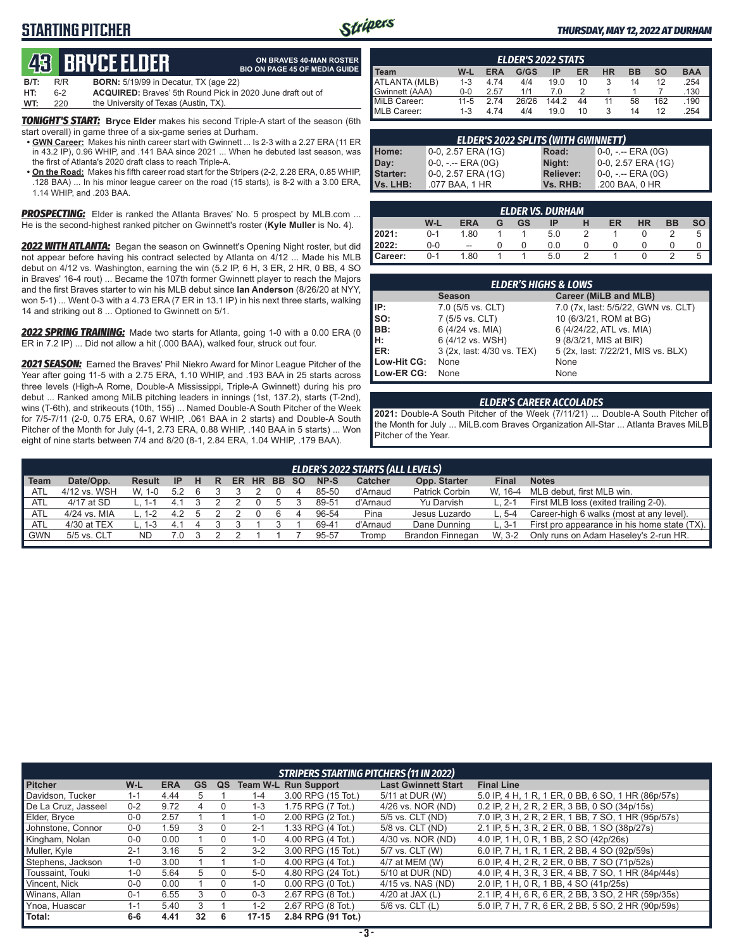## **STARTING PITCHER**



**ON BRAVES 40-MAN ROSTER**

#### *THURSDAY, MAY 12, 2022 AT DURHAM*

# **43****Bryce Elder**

|      |     | GN, DIIYGL LLOCII                            | <b>BIO ON PAGE 45 OF MEDIA GUIDE</b>                              |
|------|-----|----------------------------------------------|-------------------------------------------------------------------|
| B/T: | R/R | <b>BORN:</b> 5/19/99 in Decatur, TX (age 22) |                                                                   |
| HT:  | հ-2 |                                              | <b>ACQUIRED:</b> Braves' 5th Round Pick in 2020 June draft out of |
| WT:  | 220 | the University of Texas (Austin, TX).        |                                                                   |

*TONIGHT'S START:* **Bryce Elder** makes his second Triple-A start of the season (6th start overall) in game three of a six-game series at Durham.

- **• GWN Career:** Makes his ninth career start with Gwinnett ... Is 2-3 with a 2.27 ERA (11 ER in 43.2 IP), 0.96 WHIP, and .141 BAA since 2021 ... When he debuted last season, was the first of Atlanta's 2020 draft class to reach Triple-A.
- **• On the Road:** Makes his fifth career road start for the Stripers (2-2, 2.28 ERA, 0.85 WHIP, .128 BAA) ... In his minor league career on the road (15 starts), is 8-2 with a 3.00 ERA, 1.14 WHIP, and .203 BAA.

*PROSPECTING:* Elder is ranked the Atlanta Braves' No. 5 prospect by MLB.com ... He is the second-highest ranked pitcher on Gwinnett's roster (**Kyle Muller** is No. 4).

*2022 WITH ATLANTA:* Began the season on Gwinnett's Opening Night roster, but did not appear before having his contract selected by Atlanta on 4/12 ... Made his MLB debut on 4/12 vs. Washington, earning the win (5.2 IP, 6 H, 3 ER, 2 HR, 0 BB, 4 SO in Braves' 16-4 rout) ... Became the 107th former Gwinnett player to reach the Majors and the first Braves starter to win his MLB debut since **Ian Anderson** (8/26/20 at NYY, won 5-1) ... Went 0-3 with a 4.73 ERA (7 ER in 13.1 IP) in his next three starts, walking 14 and striking out 8 ... Optioned to Gwinnett on 5/1.

*2022 SPRING TRAINING:* Made two starts for Atlanta, going 1-0 with a 0.00 ERA (0 ER in 7.2 IP) ... Did not allow a hit (.000 BAA), walked four, struck out four.

*2021 SEASON:* Earned the Braves' Phil Niekro Award for Minor League Pitcher of the Year after going 11-5 with a 2.75 ERA, 1.10 WHIP, and .193 BAA in 25 starts across three levels (High-A Rome, Double-A Mississippi, Triple-A Gwinnett) during his pro debut ... Ranked among MiLB pitching leaders in innings (1st, 137.2), starts (T-2nd), wins (T-6th), and strikeouts (10th, 155) ... Named Double-A South Pitcher of the Week for 7/5-7/11 (2-0, 0.75 ERA, 0.67 WHIP, .061 BAA in 2 starts) and Double-A South Pitcher of the Month for July (4-1, 2.73 ERA, 0.88 WHIP, .140 BAA in 5 starts) ... Won eight of nine starts between 7/4 and 8/20 (8-1, 2.84 ERA, 1.04 WHIP, .179 BAA).

| <b>ELDER'S 2022 STATS</b> |          |            |       |      |    |    |           |           |            |
|---------------------------|----------|------------|-------|------|----|----|-----------|-----------|------------|
| <b>Team</b>               | W-L      | <b>ERA</b> | G/GS  | ΙP   | ER | НR | <b>BB</b> | <b>SO</b> | <b>BAA</b> |
| ATLANTA (MLB)             | $1 - 3$  | 4.74       | 4/4   | 19.0 | 10 |    | 14        | 12        | .254       |
| Gwinnett (AAA)            | $0 - 0$  | 2.57       | 1/1   | 7 በ  |    |    |           |           | .130       |
| MiLB Career:              | $11 - 5$ | 2.74       | 26/26 | 1442 | 44 | 11 | 58        | 162       | .190       |
| MLB Career:               | 1-3      | 4.74       | 4/4   | 19.0 | 10 |    | 14        | 12        | .254       |

| <b>ELDER'S 2022 SPLITS (WITH GWINNETT)</b> |                       |                  |                       |  |  |  |
|--------------------------------------------|-----------------------|------------------|-----------------------|--|--|--|
| Home:                                      | $0-0$ , 2.57 ERA (1G) | Road:            | $0-0, - -$ ERA $(0G)$ |  |  |  |
| Day:                                       | $0-0, - -$ ERA $(0G)$ | Night:           | 0-0, 2.57 ERA (1G)    |  |  |  |
| Starter:                                   | 0-0, 2.57 ERA (1G)    | <b>Reliever:</b> | $0-0, - -$ ERA $(0G)$ |  |  |  |
| Vs. LHB:                                   | .077 BAA, 1 HR        | Vs. RHB:         | .200 BAA, 0 HR        |  |  |  |

| <b>ELDER VS. DURHAM</b> |         |                          |   |    |     |  |    |           |    |      |
|-------------------------|---------|--------------------------|---|----|-----|--|----|-----------|----|------|
|                         | W-L     | <b>ERA</b>               | G | GS | IP  |  | ER | <b>HR</b> | BB | so l |
| 12021:                  | $0 - 1$ | 1.80                     |   |    | 5.0 |  |    |           |    |      |
| 2022:                   | $0-0$   | $\overline{\phantom{a}}$ |   |    | 0.0 |  |    |           |    |      |
| <b>I</b> Career:        | $0 - 1$ | 1.80                     |   |    | 5.0 |  |    |           |    |      |

| <b>ELDER'S HIGHS &amp; LOWS</b> |                            |                                     |  |  |  |  |  |  |
|---------------------------------|----------------------------|-------------------------------------|--|--|--|--|--|--|
|                                 | <b>Season</b>              | Career (MiLB and MLB)               |  |  |  |  |  |  |
| IP:                             | 7.0 (5/5 vs. CLT)          | 7.0 (7x, last: 5/5/22, GWN vs. CLT) |  |  |  |  |  |  |
| so:                             | 7 (5/5 vs. CLT)            | 10 (6/3/21, ROM at BG)              |  |  |  |  |  |  |
| BB:                             | 6 (4/24 vs. MIA)           | 6 (4/24/22, ATL vs. MIA)            |  |  |  |  |  |  |
| H:                              | 6 (4/12 vs. WSH)           | 9 (8/3/21, MIS at BIR)              |  |  |  |  |  |  |
| ER:                             | 3 (2x, last: 4/30 vs. TEX) | 5 (2x, last: 7/22/21, MIS vs. BLX)  |  |  |  |  |  |  |
| Low-Hit CG:                     | None                       | None                                |  |  |  |  |  |  |
| Low-ER CG:                      | None                       | None                                |  |  |  |  |  |  |

#### *ELDER'S CAREER ACCOLADES*

**2021:** Double-A South Pitcher of the Week (7/11/21) ... Double-A South Pitcher of the Month for July ... MiLB.com Braves Organization All-Star ... Atlanta Braves MiLB Pitcher of the Year.

|        | <b>ELDER'S 2022 STARTS (ALL LEVELS)</b> |             |           |  |   |           |           |       |  |       |                |                  |              |                                              |
|--------|-----------------------------------------|-------------|-----------|--|---|-----------|-----------|-------|--|-------|----------------|------------------|--------------|----------------------------------------------|
| l Team | Date/Opp.                               | Result      | <b>IP</b> |  | R | <b>ER</b> | <b>HR</b> | BB SO |  | NP-S  | <b>Catcher</b> | Opp. Starter     | <b>Final</b> | <b>Notes</b>                                 |
| I ATL  | 4/12 vs. WSH                            | W. 1-0      | 5.2       |  |   |           |           |       |  | 85-50 | d'Arnaud       | Patrick Corbin   | W. 16-4      | MLB debut, first MLB win.                    |
| ∥ ATL  | 4/17 at SD                              | $1 - 1$     |           |  |   |           |           |       |  | 89-51 | d'Arnaud       | Yu Darvish       | $L. 2-1$     | First MLB loss (exited trailing 2-0).        |
| I ATL  | 4/24 vs. MIA                            | $1 - 1 - 2$ | 42        |  |   |           |           | 6     |  | 96-54 | Pina           | Jesus Luzardo    | $L.5 - 4$    | Career-high 6 walks (most at any level).     |
| I ATL  | 4/30 at TEX                             | . 1-3       |           |  |   |           |           |       |  | 69-41 | d'Arnaud       | Dane Dunning     | L. 3-1       | First pro appearance in his home state (TX). |
| I GWN  | 5/5 vs. CLT                             | ND          |           |  |   |           |           |       |  | 95-57 | Tromp          | Brandon Finnegan | W. 3-2       | Only runs on Adam Haseley's 2-run HR.        |
|        |                                         |             |           |  |   |           |           |       |  |       |                |                  |              |                                              |

|                     | <b>STRIPERS STARTING PITCHERS (11 IN 2022)</b> |            |           |    |           |                             |                            |                                                    |  |  |
|---------------------|------------------------------------------------|------------|-----------|----|-----------|-----------------------------|----------------------------|----------------------------------------------------|--|--|
| <b>Pitcher</b>      | W-L                                            | <b>ERA</b> | <b>GS</b> | QS |           | <b>Team W-L Run Support</b> | <b>Last Gwinnett Start</b> | <b>Final Line</b>                                  |  |  |
| Davidson, Tucker    | $1 - 1$                                        | 4.44       | 5         |    | $1 - 4$   | 3.00 RPG (15 Tot.)          | 5/11 at DUR (W)            | 5.0 IP, 4 H, 1 R, 1 ER, 0 BB, 6 SO, 1 HR (86p/57s) |  |  |
| De La Cruz, Jasseel | $0 - 2$                                        | 9.72       | 4         |    | $1 - 3$   | 1.75 RPG (7 Tot.)           | 4/26 vs. NOR (ND)          | 0.2 IP, 2 H, 2 R, 2 ER, 3 BB, 0 SO (34p/15s)       |  |  |
| Elder, Bryce        | $0 - 0$                                        | 2.57       |           |    | $1 - 0$   | 2.00 RPG (2 Tot.)           | 5/5 vs. CLT (ND)           | 7.0 IP, 3 H, 2 R, 2 ER, 1 BB, 7 SO, 1 HR (95p/57s) |  |  |
| Johnstone, Connor   | $0-0$                                          | 1.59       | 3         | 0  | $2 - 1$   | 1.33 RPG (4 Tot.)           | 5/8 vs. CLT (ND)           | 2.1 IP, 5 H, 3 R, 2 ER, 0 BB, 1 SO (38p/27s)       |  |  |
| Kingham, Nolan      | $0 - 0$                                        | 0.00       |           |    | $1 - 0$   | 4.00 RPG (4 Tot.)           | 4/30 vs. NOR (ND)          | 4.0 IP, 1 H, 0 R, 1 BB, 2 SO (42p/26s)             |  |  |
| Muller, Kyle        | $2 - 1$                                        | 3.16       | 5         |    | $3-2$     | 3.00 RPG (15 Tot.)          | 5/7 vs. CLT (W)            | 6.0 IP, 7 H, 1 R, 1 ER, 2 BB, 4 SO (92p/59s)       |  |  |
| Stephens, Jackson   | $1 - 0$                                        | 3.00       |           |    | $1 - 0$   | 4.00 RPG (4 Tot.)           | 4/7 at MEM (W)             | 6.0 IP, 4 H, 2 R, 2 ER, 0 BB, 7 SO (71p/52s)       |  |  |
| Toussaint, Touki    | $1 - 0$                                        | 5.64       | 5         |    | $5-0$     | 4.80 RPG (24 Tot.)          | 5/10 at DUR (ND)           | 4.0 IP, 4 H, 3 R, 3 ER, 4 BB, 7 SO, 1 HR (84p/44s) |  |  |
| Vincent, Nick       | $0 - 0$                                        | 0.00       |           |    | $1 - 0$   | $0.00$ RPG $(0$ Tot.)       | 4/15 vs. NAS (ND)          | 2.0 IP, 1 H, 0 R, 1 BB, 4 SO (41p/25s)             |  |  |
| Winans, Allan       | $0 - 1$                                        | 6.55       | 3         |    | $0 - 3$   | 2.67 RPG (8 Tot.)           | 4/20 at JAX $(L)$          | 2.1 IP, 4 H, 6 R, 6 ER, 2 BB, 3 SO, 2 HR (59p/35s) |  |  |
| Ynoa, Huascar       | $1 - 1$                                        | 5.40       |           |    | $1 - 2$   | 2.67 RPG (8 Tot.)           | 5/6 vs. CLT (L)            | 5.0 IP, 7 H, 7 R, 6 ER, 2 BB, 5 SO, 2 HR (90p/59s) |  |  |
| Total:              | $6-6$                                          | 4.41       | 32        | 6  | $17 - 15$ | 2.84 RPG (91 Tot.)          |                            |                                                    |  |  |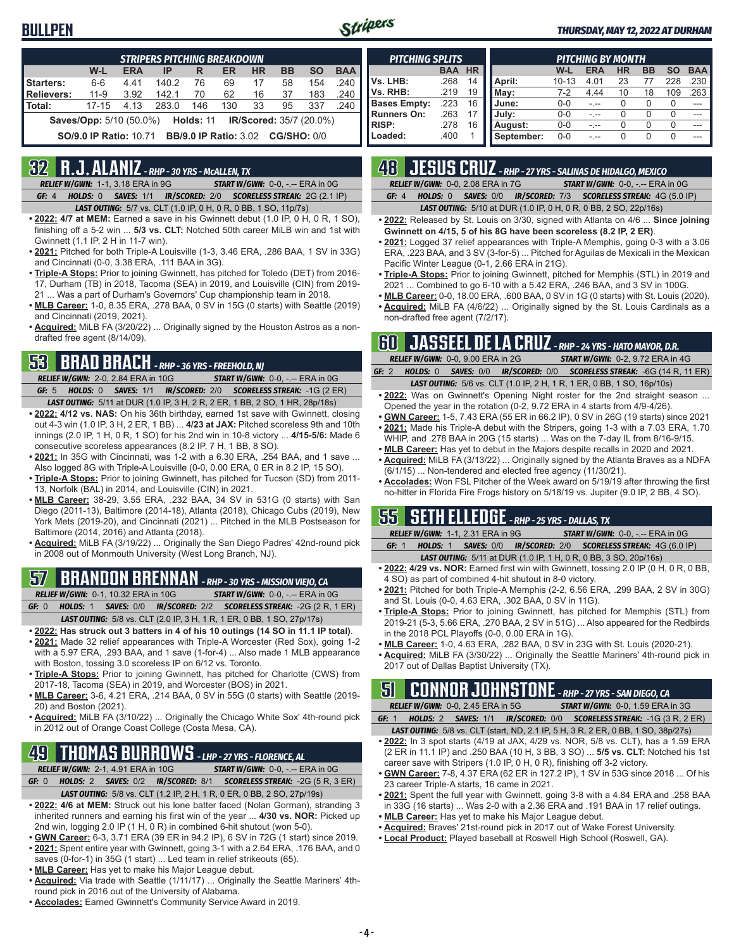## **BULLPEN**



#### *THURSDAY, MAY 12, 2022 AT DURHAM*

| <b>STRIPERS PITCHING BREAKDOWN</b>                              |                                                                            |            |       |     |     |           |           |           |            |
|-----------------------------------------------------------------|----------------------------------------------------------------------------|------------|-------|-----|-----|-----------|-----------|-----------|------------|
|                                                                 | W-L                                                                        | <b>ERA</b> | IP    | R   | ER  | <b>HR</b> | <b>BB</b> | <b>SO</b> | <b>BAA</b> |
| Starters:                                                       | $6 - 6$                                                                    | 441        | 140.2 | 76  | 69  | 17        | 58        | 154       | .240       |
| <b>Relievers:</b>                                               | $11 - 9$                                                                   | 3.92       | 142.1 | 70  | 62  | 16        | -37       | 183       | .240       |
| Total:                                                          | $17 - 15$                                                                  | 4.13       | 283.0 | 146 | 130 | 33        | 95        | 337       | .240       |
|                                                                 | <b>Holds: 11 IR/Scored: 35/7 (20.0%)</b><br><b>Saves/Opp:</b> 5/10 (50.0%) |            |       |     |     |           |           |           |            |
| <b>SO/9.0 IP Ratio: 10.71 BB/9.0 IP Ratio: 3.02 CG/SHO: 0/0</b> |                                                                            |            |       |     |     |           |           |           |            |

## **32 R.J. ALANIZ** *- RHP - 30 YRS - McALLEN, TX*

*RELIEF W/GWN:*1-1, 3.18 ERA in 9G *START W/GWN:*0-0, -.-- ERA in 0G *GF:*4 *HOLDS:*0 *SAVES:*1/1 *IR/SCORED:*2/0 *SCORELESS STREAK:*2G (2.1 IP)

*LAST OUTING:*5/7 vs. CLT (1.0 IP, 0 H, 0 R, 0 BB, 1 SO, 11p/7s)

- **• 2022: 4/7 at MEM:** Earned a save in his Gwinnett debut (1.0 IP, 0 H, 0 R, 1 SO), finishing off a 5-2 win ... **5/3 vs. CLT:** Notched 50th career MiLB win and 1st with Gwinnett (1.1 IP, 2 H in 11-7 win).
- **• 2021:** Pitched for both Triple-A Louisville (1-3, 3.46 ERA, .286 BAA, 1 SV in 33G) and Cincinnati (0-0, 3.38 ERA, .111 BAA in 3G).
- **• Triple-A Stops:** Prior to joining Gwinnett, has pitched for Toledo (DET) from 2016- 17, Durham (TB) in 2018, Tacoma (SEA) in 2019, and Louisville (CIN) from 2019- 21 ... Was a part of Durham's Governors' Cup championship team in 2018.
- **• MLB Career:** 1-0, 8.35 ERA, .278 BAA, 0 SV in 15G (0 starts) with Seattle (2019) and Cincinnati (2019, 2021).
- **• Acquired:** MiLB FA (3/20/22) ... Originally signed by the Houston Astros as a nondrafted free agent (8/14/09).

# **53 BRAD BRACH** *- RHP - 36 YRS - FREEHOLD, NJ*

*RELIEF W/GWN:*2-0, 2.84 ERA in 10G *START W/GWN:*0-0, -.-- ERA in 0G *GF:*5 *HOLDS:*0 *SAVES:*1/1 *IR/SCORED:*2/0 *SCORELESS STREAK:*-1G (2 ER)

- *LAST OUTING:*5/11 at DUR (1.0 IP, 3 H, 2 R, 2 ER, 1 BB, 2 SO, 1 HR, 28p/18s) **• 2022: 4/12 vs. NAS:** On his 36th birthday, earned 1st save with Gwinnett, closing out 4-3 win (1.0 IP, 3 H, 2 ER, 1 BB) ... **4/23 at JAX:** Pitched scoreless 9th and 10th innings (2.0 IP, 1 H, 0 R, 1 SO) for his 2nd win in 10-8 victory ... **4/15-5/6:** Made 6 consecutive scoreless appearances (8.2 IP, 7 H, 1 BB, 8 SO).
- **• 2021:** In 35G with Cincinnati, was 1-2 with a 6.30 ERA, .254 BAA, and 1 save ... Also logged 8G with Triple-A Louisville (0-0, 0.00 ERA, 0 ER in 8.2 IP, 15 SO).
- **• Triple-A Stops:** Prior to joining Gwinnett, has pitched for Tucson (SD) from 2011- 13, Norfolk (BAL) in 2014, and Louisville (CIN) in 2021.
- **• MLB Career:** 38-29, 3.55 ERA, .232 BAA, 34 SV in 531G (0 starts) with San Diego (2011-13), Baltimore (2014-18), Atlanta (2018), Chicago Cubs (2019), New York Mets (2019-20), and Cincinnati (2021) ... Pitched in the MLB Postseason for Baltimore (2014, 2016) and Atlanta (2018).
- **• Acquired:** MiLB FA (3/19/22) ... Originally the San Diego Padres' 42nd-round pick in 2008 out of Monmouth University (West Long Branch, NJ).

#### **57 BRANDON BRENNAN** *- RHP - 30 YRS - MISSION VIEJO, CA RELIEF W/GWN:*0-1, 10.32 ERA in 10G *START W/GWN:*0-0, -.-- ERA in 0G

*GF:*0 *HOLDS:*1 *SAVES:*0/0 *IR/SCORED:*2/2 *SCORELESS STREAK:*-2G (2 R, 1 ER)

- *LAST OUTING:*5/8 vs. CLT (2.0 IP, 3 H, 1 R, 1 ER, 0 BB, 1 SO, 27p/17s)
- **• 2022: Has struck out 3 batters in 4 of his 10 outings (14 SO in 11.1 IP total)**. **• 2021:** Made 32 relief appearances with Triple-A Worcester (Red Sox), going 1-2 with a 5.97 ERA, .293 BAA, and 1 save (1-for-4) ... Also made 1 MLB appearance with Boston, tossing 3.0 scoreless IP on 6/12 vs. Toronto.
- **• Triple-A Stops:** Prior to joining Gwinnett, has pitched for Charlotte (CWS) from 2017-18, Tacoma (SEA) in 2019, and Worcester (BOS) in 2021.
- **• MLB Career:** 3-6, 4.21 ERA, .214 BAA, 0 SV in 55G (0 starts) with Seattle (2019- 20) and Boston (2021).
- **• Acquired:** MiLB FA (3/10/22) ... Originally the Chicago White Sox' 4th-round pick in 2012 out of Orange Coast College (Costa Mesa, CA).

# **49 THOMAS BURROWS** *- LHP - 27 YRS - FLORENCE, AL*

*RELIEF W/GWN:*2-1, 4.91 ERA in 10G *START W/GWN:*0-0, -.-- ERA in 0G *GF:*0 *HOLDS:*2 *SAVES:*0/2 *IR/SCORED:*8/1 *SCORELESS STREAK:*-2G (5 R, 3 ER)

- *LAST OUTING:*5/8 vs. CLT (1.2 IP, 2 H, 1 R, 0 ER, 0 BB, 2 SO, 27p/19s)
- **• 2022: 4/6 at MEM:** Struck out his lone batter faced (Nolan Gorman), stranding 3 inherited runners and earning his first win of the year ... **4/30 vs. NOR:** Picked up 2nd win, logging 2.0 IP (1 H, 0 R) in combined 6-hit shutout (won 5-0).
- **• GWN Career:** 6-3, 3.71 ERA (39 ER in 94.2 IP), 6 SV in 72G (1 start) since 2019.
- **• 2021:** Spent entire year with Gwinnett, going 3-1 with a 2.64 ERA, .176 BAA, and 0
- saves (0-for-1) in 35G (1 start) ... Led team in relief strikeouts (65).
- **• MLB Career:** Has yet to make his Major League debut.
- **• Acquired:** Via trade with Seattle (1/11/17) ... Originally the Seattle Mariners' 4thround pick in 2016 out of the University of Alabama.
- **• Accolades:** Earned Gwinnett's Community Service Award in 2019.

| <b>PITCHING SPLITS</b> |            |           |            |           | <b>PITCHING BY MONTH</b> |           |           |           |            |
|------------------------|------------|-----------|------------|-----------|--------------------------|-----------|-----------|-----------|------------|
|                        | <b>BAA</b> | <b>HR</b> |            | W-L       | <b>ERA</b>               | <b>HR</b> | <b>BB</b> | <b>SO</b> | <b>BAA</b> |
| Vs. LHB:               | .268       | 14        | April:     | $10 - 13$ | 4.01                     | 23        |           | 228       | .230       |
| Vs. RHB:               | .219       | 19        | Mav:       | 7-2       | 4 4 4                    | 10        | 18        | 109       | .263       |
| <b>Bases Empty:</b>    | .223       | 16        | June:      | $0 - 0$   |                          | 0         |           | 0         | ---        |
| <b>Runners On:</b>     | .263       | 17        | July:      | $0 - 0$   |                          |           |           | 0         |            |
| RISP:                  | .278       | 16        | August:    | $0 - 0$   | - --                     |           |           | O         |            |
| Loaded:                | .400       |           | September: | $0 - 0$   |                          | O         |           | U         |            |

# **48 JESUS CRUZ** *- RHP - 27 YRS - SALINAS DE HIDALGO, MEXICO*

*RELIEF W/GWN:*0-0, 2.08 ERA in 7G *START W/GWN:*0-0, -.-- ERA in 0G *GF:*4 *HOLDS:*0 *SAVES:*0/0 *IR/SCORED:*7/3 *SCORELESS STREAK:*4G (5.0 IP)

*LAST OUTING:*5/10 at DUR (1.0 IP, 0 H, 0 R, 0 BB, 2 SO, 22p/16s)

- **• 2022:** Released by St. Louis on 3/30, signed with Atlanta on 4/6 ... **Since joining Gwinnett on 4/15, 5 of his 8G have been scoreless (8.2 IP, 2 ER)**.
- **• 2021:** Logged 37 relief appearances with Triple-A Memphis, going 0-3 with a 3.06 ERA, .223 BAA, and 3 SV (3-for-5) ... Pitched for Aguilas de Mexicali in the Mexican Pacific Winter League (0-1, 2.66 ERA in 21G).
- **• Triple-A Stops:** Prior to joining Gwinnett, pitched for Memphis (STL) in 2019 and 2021 ... Combined to go 6-10 with a 5.42 ERA, .246 BAA, and 3 SV in 100G.
- **• MLB Career:** 0-0, 18.00 ERA, .600 BAA, 0 SV in 1G (0 starts) with St. Louis (2020). **• Acquired:** MiLB FA (4/6/22) ... Originally signed by the St. Louis Cardinals as a
- non-drafted free agent (7/2/17).

## **60 JASSEEL DE LA CRUZ** *- RHP - 24 YRS - HATO MAYOR, D.R.*

|  | RELIEF W/GWN: 0-0, 9.00 ERA in 2G | <b>START W/GWN: 0-2, 9.72 ERA in 4G</b>                                  |                                                                              |
|--|-----------------------------------|--------------------------------------------------------------------------|------------------------------------------------------------------------------|
|  |                                   |                                                                          | GF: 2 HOLDS: 0 SAVES: 0/0 IR/SCORED: 0/0 SCORELESS STREAK: -6G (14 R, 11 ER) |
|  |                                   | <b>IACT OUTING, EIG 10 CIT (1 0 ID 2 U 1 D 1 ED 0 DD 1 CO 16 m/10 c)</b> |                                                                              |

- *LAST OUTING:*5/6 vs. CLT (1.0 IP, 2 H, 1 R, 1 ER, 0 BB, 1 SO, 16p/10s) **• 2022:** Was on Gwinnett's Opening Night roster for the 2nd straight season ... Opened the year in the rotation (0-2, 9.72 ERA in 4 starts from 4/9-4/26).
- **• GWN Career:** 1-5, 7.43 ERA (55 ER in 66.2 IP), 0 SV in 26G (19 starts) since 2021 **• 2021:** Made his Triple-A debut with the Stripers, going 1-3 with a 7.03 ERA, 1.70
- WHIP, and .278 BAA in 20G (15 starts) ... Was on the 7-day IL from 8/16-9/15.
- **• MLB Career:** Has yet to debut in the Majors despite recalls in 2020 and 2021. **• Acquired:** MiLB FA (3/13/22) ... Originally signed by the Atlanta Braves as a NDFA (6/1/15) ... Non-tendered and elected free agency (11/30/21).
- **• Accolades:** Won FSL Pitcher of the Week award on 5/19/19 after throwing the first no-hitter in Florida Fire Frogs history on 5/18/19 vs. Jupiter (9.0 IP, 2 BB, 4 SO).

## **55 SETH ELLEDGE** *- RHP - 25 YRS - DALLAS, TX*

*RELIEF W/GWN:*1-1, 2.31 ERA in 9G *START W/GWN:*0-0, -.-- ERA in 0G *GF:*1 *HOLDS:*1 *SAVES:*0/0 *IR/SCORED:*2/0 *SCORELESS STREAK:*4G (6.0 IP)

- *LAST OUTING:*5/11 at DUR (1.0 IP, 1 H, 0 R, 0 BB, 3 SO, 20p/16s)
- **• 2022: 4/29 vs. NOR:** Earned first win with Gwinnett, tossing 2.0 IP (0 H, 0 R, 0 BB, 4 SO) as part of combined 4-hit shutout in 8-0 victory.
- **• 2021:** Pitched for both Triple-A Memphis (2-2, 6.56 ERA, .299 BAA, 2 SV in 30G) and St. Louis (0-0, 4.63 ERA, .302 BAA, 0 SV in 11G).
- **• Triple-A Stops:** Prior to joining Gwinnett, has pitched for Memphis (STL) from 2019-21 (5-3, 5.66 ERA, .270 BAA, 2 SV in 51G) ... Also appeared for the Redbirds in the 2018 PCL Playoffs (0-0, 0.00 ERA in 1G).
- **• MLB Career:** 1-0, 4.63 ERA, .282 BAA, 0 SV in 23G with St. Louis (2020-21).
- **• Acquired:** MiLB FA (3/30/22) ... Originally the Seattle Mariners' 4th-round pick in 2017 out of Dallas Baptist University (TX).

# **51 CONNOR JOHNSTONE** *- RHP - 27 YRS - SAN DIEGO, CA*

*RELIEF W/GWN:*0-0, 2.45 ERA in 5G *START W/GWN:*0-0, 1.59 ERA in 3G

*GF:*1 *HOLDS:*2 *SAVES:*1/1 *IR/SCORED:*0/0 *SCORELESS STREAK:*-1G (3 R, 2 ER) *LAST OUTING:*5/8 vs. CLT (start, ND, 2.1 IP, 5 H, 3 R, 2 ER, 0 BB, 1 SO, 38p/27s)

- **• 2022:** In 3 spot starts (4/19 at JAX, 4/29 vs. NOR, 5/8 vs. CLT), has a 1.59 ERA (2 ER in 11.1 IP) and .250 BAA (10 H, 3 BB, 3 SO) ... **5/5 vs. CLT:** Notched his 1st career save with Stripers (1.0 IP, 0 H, 0 R), finishing off 3-2 victory.
- **• GWN Career:** 7-8, 4.37 ERA (62 ER in 127.2 IP), 1 SV in 53G since 2018 ... Of his 23 career Triple-A starts, 16 came in 2021.
- **• 2021:** Spent the full year with Gwinnett, going 3-8 with a 4.84 ERA and .258 BAA in 33G (16 starts) ... Was 2-0 with a 2.36 ERA and .191 BAA in 17 relief outings. **• MLB Career:** Has yet to make his Major League debut.
- 
- **• Acquired:** Braves' 21st-round pick in 2017 out of Wake Forest University. **• Local Product:** Played baseball at Roswell High School (Roswell, GA).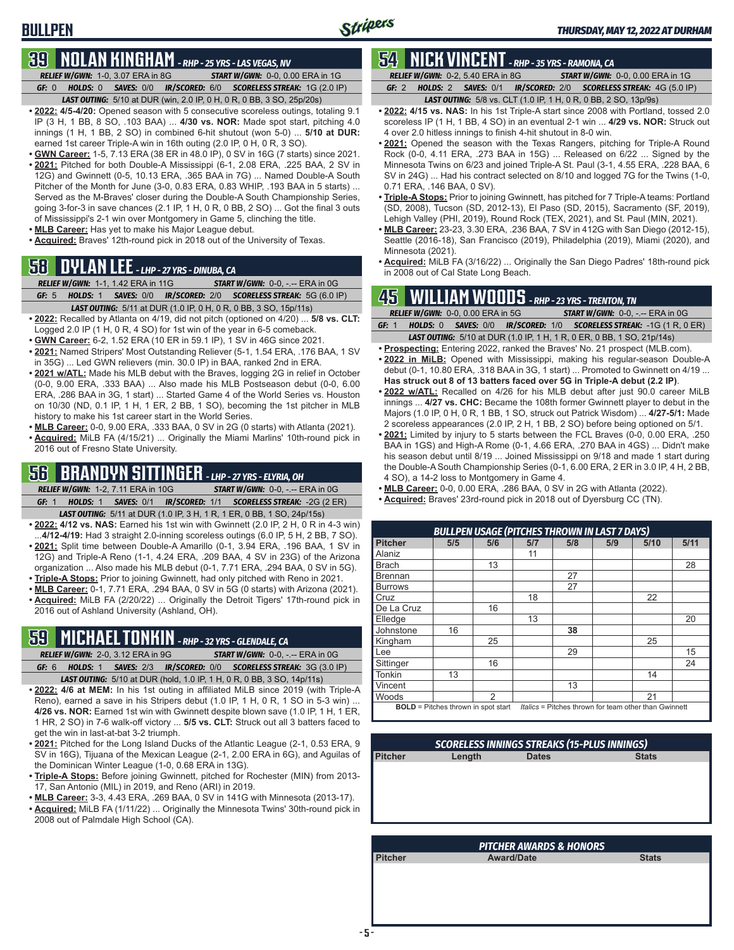**BULLPEN**

## **39 NOLAN KINGHAM** *- RHP - 25 YRS - LAS VEGAS, NV*

*RELIEF W/GWN:*1-0, 3.07 ERA in 8G *START W/GWN:*0-0, 0.00 ERA in 1G *GF:*0 *HOLDS:*0 *SAVES:*0/0 *IR/SCORED:*6/0 *SCORELESS STREAK:*1G (2.0 IP) *LAST OUTING:*5/10 at DUR (win, 2.0 IP, 0 H, 0 R, 0 BB, 3 SO, 25p/20s)

- **• 2022: 4/5-4/20:** Opened season with 5 consecutive scoreless outings, totaling 9.1 IP (3 H, 1 BB, 8 SO, .103 BAA) ... **4/30 vs. NOR:** Made spot start, pitching 4.0 innings (1 H, 1 BB, 2 SO) in combined 6-hit shutout (won 5-0) ... **5/10 at DUR:** earned 1st career Triple-A win in 16th outing (2.0 IP, 0 H, 0 R, 3 SO).
- **• GWN Career:** 1-5, 7.13 ERA (38 ER in 48.0 IP), 0 SV in 16G (7 starts) since 2021. **• 2021:** Pitched for both Double-A Mississippi (6-1, 2.08 ERA, .225 BAA, 2 SV in
- 12G) and Gwinnett (0-5, 10.13 ERA, .365 BAA in 7G) ... Named Double-A South Pitcher of the Month for June (3-0, 0.83 ERA, 0.83 WHIP, .193 BAA in 5 starts) ... Served as the M-Braves' closer during the Double-A South Championship Series, going 3-for-3 in save chances (2.1 IP, 1 H, 0 R, 0 BB, 2 SO) ... Got the final 3 outs of Mississippi's 2-1 win over Montgomery in Game 5, clinching the title.
- **• MLB Career:** Has yet to make his Major League debut.
- **• Acquired:** Braves' 12th-round pick in 2018 out of the University of Texas.

# **58 DYLAN LEE** *- LHP - 27 YRS - DINUBA, CA*

|       | <b>RELIEF W/GWN: 1-1, 1.42 ERA in 11G</b> | <b>START W/GWN: 0-0, -.-- ERA in 0G</b>                                 |
|-------|-------------------------------------------|-------------------------------------------------------------------------|
| GF: 5 |                                           | <b>HOLDS: 1 SAVES: 0/0 IR/SCORED: 2/0 SCORELESS STREAK: 5G (6.0 IP)</b> |
|       |                                           | <b>LAST OUTING:</b> 5/11 at DUR (1.0 IP, 0 H, 0 R, 0 BB, 3 SO, 15p/11s) |

- **• 2022:** Recalled by Atlanta on 4/19, did not pitch (optioned on 4/20) ... **5/8 vs. CLT:** Logged 2.0 IP (1 H, 0 R, 4 SO) for 1st win of the year in 6-5 comeback.
- **• GWN Career:** 6-2, 1.52 ERA (10 ER in 59.1 IP), 1 SV in 46G since 2021.
- **• 2021:** Named Stripers' Most Outstanding Reliever (5-1, 1.54 ERA, .176 BAA, 1 SV in 35G) ... Led GWN relievers (min. 30.0 IP) in BAA, ranked 2nd in ERA.
- **• 2021 w/ATL:** Made his MLB debut with the Braves, logging 2G in relief in October (0-0, 9.00 ERA, .333 BAA) ... Also made his MLB Postseason debut (0-0, 6.00 ERA, .286 BAA in 3G, 1 start) ... Started Game 4 of the World Series vs. Houston on 10/30 (ND, 0.1 IP, 1 H, 1 ER, 2 BB, 1 SO), becoming the 1st pitcher in MLB history to make his 1st career start in the World Series.
- **• MLB Career:** 0-0, 9.00 ERA, .333 BAA, 0 SV in 2G (0 starts) with Atlanta (2021).
- **• Acquired:** MiLB FA (4/15/21) ... Originally the Miami Marlins' 10th-round pick in 2016 out of Fresno State University.

## **56 BRANDYN SITTINGER** *- LHP - 27 YRS - ELYRIA, OH*

- *RELIEF W/GWN:*1-2, 7.11 ERA in 10G *START W/GWN:*0-0, -.-- ERA in 0G *GF:*1 *HOLDS:*1 *SAVES:*0/1 *IR/SCORED:*1/1 *SCORELESS STREAK:*-2G (2 ER) *LAST OUTING:*5/11 at DUR (1.0 IP, 3 H, 1 R, 1 ER, 0 BB, 1 SO, 24p/15s)
- **• 2022: 4/12 vs. NAS:** Earned his 1st win with Gwinnett (2.0 IP, 2 H, 0 R in 4-3 win) ...**4/12-4/19:** Had 3 straight 2.0-inning scoreless outings (6.0 IP, 5 H, 2 BB, 7 SO).
- **• 2021:** Split time between Double-A Amarillo (0-1, 3.94 ERA, .196 BAA, 1 SV in 12G) and Triple-A Reno (1-1, 4.24 ERA, .209 BAA, 4 SV in 23G) of the Arizona organization ... Also made his MLB debut (0-1, 7.71 ERA, .294 BAA, 0 SV in 5G).
- **• Triple-A Stops:** Prior to joining Gwinnett, had only pitched with Reno in 2021. **• MLB Career:** 0-1, 7.71 ERA, .294 BAA, 0 SV in 5G (0 starts) with Arizona (2021).
- **• Acquired:** MiLB FA (2/20/22) ... Originally the Detroit Tigers' 17th-round pick in 2016 out of Ashland University (Ashland, OH).

# **59 MICHAEL TONKIN** *- RHP - 32 YRS - GLENDALE, CA*

- *RELIEF W/GWN:*2-0, 3.12 ERA in 9G *START W/GWN:*0-0, -.-- ERA in 0G *GF:*6 *HOLDS:*1 *SAVES:*2/3 *IR/SCORED:*0/0 *SCORELESS STREAK:*3G (3.0 IP)
- *LAST OUTING:*5/10 at DUR (hold, 1.0 IP, 1 H, 0 R, 0 BB, 3 SO, 14p/11s) **• 2022: 4/6 at MEM:** In his 1st outing in affiliated MiLB since 2019 (with Triple-A Reno), earned a save in his Stripers debut (1.0 IP, 1 H, 0 R, 1 SO in 5-3 win) ... **4/26 vs. NOR:** Earned 1st win with Gwinnett despite blown save (1.0 IP, 1 H, 1 ER, 1 HR, 2 SO) in 7-6 walk-off victory ... **5/5 vs. CLT:** Struck out all 3 batters faced to
- get the win in last-at-bat 3-2 triumph. **• 2021:** Pitched for the Long Island Ducks of the Atlantic League (2-1, 0.53 ERA, 9 SV in 16G), Tijuana of the Mexican League (2-1, 2.00 ERA in 6G), and Aguilas of the Dominican Winter League (1-0, 0.68 ERA in 13G).
- **• Triple-A Stops:** Before joining Gwinnett, pitched for Rochester (MIN) from 2013- 17, San Antonio (MIL) in 2019, and Reno (ARI) in 2019.
- **• MLB Career:** 3-3, 4.43 ERA, .269 BAA, 0 SV in 141G with Minnesota (2013-17).
- **• Acquired:** MiLB FA (1/11/22) ... Originally the Minnesota Twins' 30th-round pick in 2008 out of Palmdale High School (CA).

# **54 NICK VINCENT** *- RHP - 35 YRS - RAMONA, CA*

*RELIEF W/GWN:*0-2, 5.40 ERA in 8G *START W/GWN:*0-0, 0.00 ERA in 1G *GF:*2 *HOLDS:*2 *SAVES:*0/1 *IR/SCORED:*2/0 *SCORELESS STREAK:*4G (5.0 IP)

- *LAST OUTING:*5/8 vs. CLT (1.0 IP, 1 H, 0 R, 0 BB, 2 SO, 13p/9s)
- **• 2022: 4/15 vs. NAS:** In his 1st Triple-A start since 2008 with Portland, tossed 2.0 scoreless IP (1 H, 1 BB, 4 SO) in an eventual 2-1 win ... **4/29 vs. NOR:** Struck out 4 over 2.0 hitless innings to finish 4-hit shutout in 8-0 win.
- **• 2021:** Opened the season with the Texas Rangers, pitching for Triple-A Round Rock (0-0, 4.11 ERA, .273 BAA in 15G) ... Released on 6/22 ... Signed by the Minnesota Twins on 6/23 and joined Triple-A St. Paul (3-1, 4.55 ERA, .228 BAA, 6 SV in 24G) ... Had his contract selected on 8/10 and logged 7G for the Twins (1-0, 0.71 ERA, .146 BAA, 0 SV).
- **• Triple-A Stops:** Prior to joining Gwinnett, has pitched for 7 Triple-A teams: Portland (SD, 2008), Tucson (SD, 2012-13), El Paso (SD, 2015), Sacramento (SF, 2019), Lehigh Valley (PHI, 2019), Round Rock (TEX, 2021), and St. Paul (MIN, 2021).
- **• MLB Career:** 23-23, 3.30 ERA, .236 BAA, 7 SV in 412G with San Diego (2012-15), Seattle (2016-18), San Francisco (2019), Philadelphia (2019), Miami (2020), and Minnesota (2021).
- **• Acquired:** MiLB FA (3/16/22) ... Originally the San Diego Padres' 18th-round pick in 2008 out of Cal State Long Beach.

## **45 WILLIAM WOODS** *- RHP - 23 YRS - TRENTON, TN*

|       | <b>RELIEF W/GWN: 0-0, 0.00 ERA in 5G</b> |  | <b>START W/GWN: 0-0, -.-- ERA in 0G</b>                                       |
|-------|------------------------------------------|--|-------------------------------------------------------------------------------|
| GF: 1 |                                          |  | <b>HOLDS: 0 SAVES: 0/0 IR/SCORED: 1/0 SCORELESS STREAK: -1G (1 R, 0 ER)</b>   |
|       |                                          |  | <b>LAST OUTING:</b> 5/10 at DUR (1.0 IP, 1 H, 1 R, 0 ER, 0 BB, 1 SO, 21p/14s) |

- **• Prospecting:** Entering 2022, ranked the Braves' No. 21 prospect (MLB.com). **• 2022 in MiLB:** Opened with Mississippi, making his regular-season Double-A
- debut (0-1, 10.80 ERA, .318 BAA in 3G, 1 start) ... Promoted to Gwinnett on 4/19 ... **Has struck out 8 of 13 batters faced over 5G in Triple-A debut (2.2 IP)**.
- **• 2022 w/ATL:** Recalled on 4/26 for his MLB debut after just 90.0 career MiLB innings ... **4/27 vs. CHC:** Became the 108th former Gwinnett player to debut in the Majors (1.0 IP, 0 H, 0 R, 1 BB, 1 SO, struck out Patrick Wisdom) ... **4/27-5/1:** Made 2 scoreless appearances (2.0 IP, 2 H, 1 BB, 2 SO) before being optioned on 5/1.
- **• 2021:** Limited by injury to 5 starts between the FCL Braves (0-0, 0.00 ERA, .250 BAA in 1GS) and High-A Rome (0-1, 4.66 ERA, .270 BAA in 4GS) ... Didn't make his season debut until 8/19 ... Joined Mississippi on 9/18 and made 1 start during the Double-A South Championship Series (0-1, 6.00 ERA, 2 ER in 3.0 IP, 4 H, 2 BB, 4 SO), a 14-2 loss to Montgomery in Game 4.
- **• MLB Career:** 0-0, 0.00 ERA, .286 BAA, 0 SV in 2G with Atlanta (2022).
- **• Acquired:** Braves' 23rd-round pick in 2018 out of Dyersburg CC (TN).

| <b>BULLPEN USAGE (PITCHES THROWN IN LAST 7 DAYS)</b>                                                |     |               |     |     |     |      |      |  |  |
|-----------------------------------------------------------------------------------------------------|-----|---------------|-----|-----|-----|------|------|--|--|
| <b>Pitcher</b>                                                                                      | 5/5 | 5/6           | 5/7 | 5/8 | 5/9 | 5/10 | 5/11 |  |  |
| <b>Alaniz</b>                                                                                       |     |               | 11  |     |     |      |      |  |  |
| Brach                                                                                               |     | 13            |     |     |     |      | 28   |  |  |
| <b>Brennan</b>                                                                                      |     |               |     | 27  |     |      |      |  |  |
| <b>Burrows</b>                                                                                      |     |               |     | 27  |     |      |      |  |  |
| Cruz                                                                                                |     |               | 18  |     |     | 22   |      |  |  |
| De La Cruz                                                                                          |     | 16            |     |     |     |      |      |  |  |
| Elledge                                                                                             |     |               | 13  |     |     |      | 20   |  |  |
| Johnstone                                                                                           | 16  |               |     | 38  |     |      |      |  |  |
| Kingham                                                                                             |     | 25            |     |     |     | 25   |      |  |  |
| <b>I</b> Lee                                                                                        |     |               |     | 29  |     |      | 15   |  |  |
| Sittinger                                                                                           |     | 16            |     |     |     |      | 24   |  |  |
| <b>Tonkin</b>                                                                                       | 13  |               |     |     |     | 14   |      |  |  |
| <b>Vincent</b>                                                                                      |     |               |     | 13  |     |      |      |  |  |
| <b>Noods</b>                                                                                        |     | $\mathcal{P}$ |     |     |     | 21   |      |  |  |
| <b>BOLD</b> = Pitches thrown in spot start<br>Italics = Pitches thrown for team other than Gwinnett |     |               |     |     |     |      |      |  |  |

| <b>SCORELESS INNINGS STREAKS (15-PLUS INNINGS)</b> |        |              |              |  |  |  |  |  |
|----------------------------------------------------|--------|--------------|--------------|--|--|--|--|--|
| <b>Pitcher</b>                                     | Length | <b>Dates</b> | <b>Stats</b> |  |  |  |  |  |
|                                                    |        |              |              |  |  |  |  |  |
|                                                    |        |              |              |  |  |  |  |  |
|                                                    |        |              |              |  |  |  |  |  |
|                                                    |        |              |              |  |  |  |  |  |
|                                                    |        |              |              |  |  |  |  |  |
|                                                    |        |              |              |  |  |  |  |  |

| <b>PITCHER AWARDS &amp; HONORS</b> |                   |              |  |  |  |  |  |
|------------------------------------|-------------------|--------------|--|--|--|--|--|
| <b>Pitcher</b>                     | <b>Award/Date</b> | <b>Stats</b> |  |  |  |  |  |
|                                    |                   |              |  |  |  |  |  |
|                                    |                   |              |  |  |  |  |  |
|                                    |                   |              |  |  |  |  |  |
|                                    |                   |              |  |  |  |  |  |
|                                    |                   |              |  |  |  |  |  |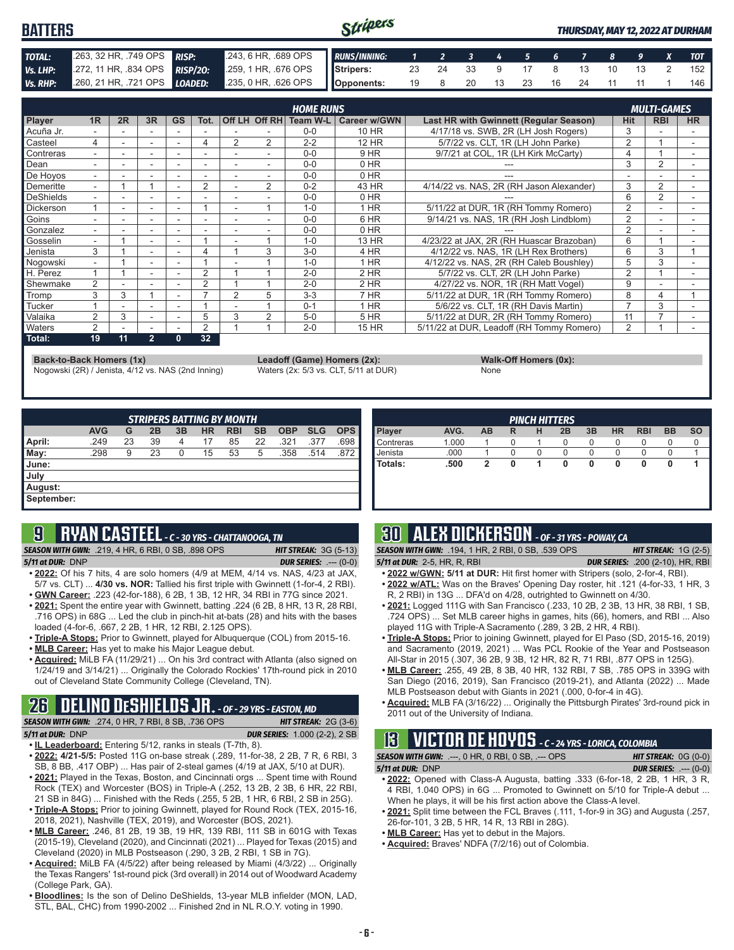#### Stripers **BATTERS** *THURSDAY, MAY 12, 2022 AT DURHAM TOTAL:* .263, 32 HR, .749 OPS *RISP:* .243, 6 HR, .689 OPS *RUNS/INNING: 1 2 3 4 5 6 7 8 9 X TOT Vs. LHP:* .272, 11 HR, .834 OPS *RISP/2O:* .259, 1 HR, .676 OPS **Stripers:** 23 24 33 9 17 8 13 10 13 2 152 *Vs. RHP:* .260, 21 HR, .721 OPS *LOADED:* .235, 0 HR, .626 OPS **Opponents:** 19 8 20 13 23 16 24 11 11 1 146

|                  |                          |    |                          |           |      |                          |                          | <b>HOME RUNS</b> |                     |                                               |                | <b>MULTI-GAMES</b> |           |
|------------------|--------------------------|----|--------------------------|-----------|------|--------------------------|--------------------------|------------------|---------------------|-----------------------------------------------|----------------|--------------------|-----------|
| Player           | 1R                       | 2R | 3R                       | <b>GS</b> | Tot. |                          | Off LH Off RH            | Team W-L         | <b>Career w/GWN</b> | <b>Last HR with Gwinnett (Regular Season)</b> | <b>Hit</b>     | <b>RBI</b>         | <b>HR</b> |
| Acuña Jr.        |                          |    |                          |           |      |                          |                          | $0 - 0$          | 10 HR               | 4/17/18 vs. SWB, 2R (LH Josh Rogers)          | 3              |                    |           |
| Casteel          | 4                        |    | ۰                        |           | 4    | 2                        | 2                        | $2 - 2$          | 12 HR               | 5/7/22 vs. CLT. 1R (LH John Parke)            | $\overline{2}$ |                    |           |
| Contreras        |                          |    | ٠                        |           |      |                          |                          | $0 - 0$          | 9 HR                | 9/7/21 at COL, 1R (LH Kirk McCarty)           |                |                    |           |
| Dean             |                          |    |                          |           |      |                          |                          | $0 - 0$          | $0$ HR              |                                               | 3              | 2                  |           |
| De Hovos         | ۰.                       |    | ۰                        |           |      | $\overline{\phantom{a}}$ |                          | $0 - 0$          | 0 HR                |                                               |                |                    | ۰         |
| Demeritte        | $\overline{\phantom{0}}$ |    |                          |           | 2    |                          | $\overline{2}$           | $0 - 2$          | 43 HR               | 4/14/22 vs. NAS, 2R (RH Jason Alexander)      | 3              | 2                  |           |
| DeShields        |                          |    |                          |           |      |                          |                          | $0 - 0$          | 0 HR                |                                               | 6              | $\overline{2}$     |           |
| <b>Dickerson</b> |                          | ۰  | $\overline{\phantom{a}}$ | ۰.        |      | ٠                        |                          | $1 - 0$          | $1$ HR              | 5/11/22 at DUR, 1R (RH Tommy Romero)          | $\overline{2}$ |                    | ۰         |
| Goins            |                          |    | ۰                        |           |      |                          |                          | $0 - 0$          | 6 HR                | 9/14/21 vs. NAS. 1R (RH Josh Lindblom)        | $\overline{2}$ |                    |           |
| Gonzalez         | $\overline{\phantom{0}}$ |    | $\overline{\phantom{a}}$ |           | -    | $\overline{\phantom{a}}$ | $\overline{\phantom{a}}$ | $0 - 0$          | 0 HR                |                                               | $\overline{2}$ |                    |           |
| Gosselin         |                          |    |                          |           |      |                          |                          | $1 - 0$          | 13 HR               | 4/23/22 at JAX, 2R (RH Huascar Brazoban)      | 6              |                    |           |
| Jenista          | 3                        |    |                          |           |      |                          | 3                        | $3-0$            | 4 HR                | 4/12/22 vs. NAS, 1R (LH Rex Brothers)         | 6              | 3                  |           |
| Nogowski         | ۰.                       |    | ۰                        |           |      |                          |                          | $1 - 0$          | 1 HR                | 4/12/22 vs. NAS, 2R (RH Caleb Boushley)       | 5              | 3                  | ۰         |
| H. Perez         |                          |    | ۰                        |           |      |                          |                          | $2 - 0$          | 2 HR                | 5/7/22 vs. CLT, 2R (LH John Parke)            | $\overline{2}$ |                    |           |
| Shewmake         | 2                        |    |                          |           | 2    |                          |                          | $2 - 0$          | $2$ HR              | 4/27/22 vs. NOR, 1R (RH Matt Vogel)           | 9              |                    |           |
| Tromp            | 3                        | 3  |                          |           |      | 2                        | 5                        | $3 - 3$          | 7 HR                | 5/11/22 at DUR, 1R (RH Tommy Romero)          | 8              | 4                  |           |
| Tucker           |                          |    |                          |           |      |                          |                          | $0 - 1$          | 1 HR                | 5/6/22 vs. CLT, 1R (RH Davis Martin)          |                | 3                  |           |
| Valaika          | $\mathcal{P}$            | 3  | $\overline{\phantom{a}}$ |           | 5    | 3                        | $\overline{2}$           | $5-0$            | 5 HR                | 5/11/22 at DUR. 2R (RH Tommy Romero)          | 11             |                    |           |
| <b>Naters</b>    | 2                        |    | ۰                        |           | 2    |                          |                          | $2 - 0$          | 15 HR               | 5/11/22 at DUR, Leadoff (RH Tommy Romero)     | $\overline{2}$ |                    |           |
| Total:           | 19                       | 11 | $\overline{2}$           | 0         | 32   |                          |                          |                  |                     |                                               |                |                    |           |

**Back-to-Back Homers (1x) Leadoff (Game) Homers (2x): Walk-Off Homers (0x): Walk-Off Homers (0x): None None Walk-Off Homers (0x): Walk-Off Homers (0x): Walk-Off Homers (0x): Waters (2x: 5/3 vs. CLT, 5/11 at** Nogowski (2R) / Jenista, 4/12 vs. NAS (2nd Inning)

| <b>I</b> GISTION IN THE R |  |
|---------------------------|--|
| <b>None</b>               |  |

| <b>STRIPERS BATTING BY MONTH</b> |            |    |    |    |           |            |           |            |            |            |
|----------------------------------|------------|----|----|----|-----------|------------|-----------|------------|------------|------------|
|                                  | <b>AVG</b> | G  | 2B | 3B | <b>HR</b> | <b>RBI</b> | <b>SB</b> | <b>OBP</b> | <b>SLG</b> | <b>OPS</b> |
| April:                           | .249       | 23 | 39 | 4  | 17        | 85         | 22        | .321       | .377       | .698       |
| $\blacksquare$ May:              | .298       | 9  | 23 | 0  | 15        | 53         | 5         | .358       | .514       | .872       |
| <b>June:</b>                     |            |    |    |    |           |            |           |            |            |            |
| July                             |            |    |    |    |           |            |           |            |            |            |
| August:                          |            |    |    |    |           |            |           |            |            |            |
| September:                       |            |    |    |    |           |            |           |            |            |            |

## **9 RYAN CASTEEL** *- C - 30 YRS - CHATTANOOGA, TN*

*SEASON WITH GWN:*.219, 4 HR, 6 RBI, 0 SB, .898 OPS *HIT STREAK:* 3G (5-13)

*5/11 at DUR:*DNP *DUR SERIES:* .--- (0-0)

- **• 2022:** Of his 7 hits, 4 are solo homers (4/9 at MEM, 4/14 vs. NAS, 4/23 at JAX, 5/7 vs. CLT) ... **4/30 vs. NOR:** Tallied his first triple with Gwinnett (1-for-4, 2 RBI). **• GWN Career:** .223 (42-for-188), 6 2B, 1 3B, 12 HR, 34 RBI in 77G since 2021.
- **• 2021:** Spent the entire year with Gwinnett, batting .224 (6 2B, 8 HR, 13 R, 28 RBI, .716 OPS) in 68G ... Led the club in pinch-hit at-bats (28) and hits with the bases
- loaded (4-for-6, .667, 2 2B, 1 HR, 12 RBI, 2.125 OPS). **• Triple-A Stops:** Prior to Gwinnett, played for Albuquerque (COL) from 2015-16.
- **• MLB Career:** Has yet to make his Major League debut.
- **• Acquired:** MiLB FA (11/29/21) ... On his 3rd contract with Atlanta (also signed on 1/24/19 and 3/14/21) ... Originally the Colorado Rockies' 17th-round pick in 2010 out of Cleveland State Community College (Cleveland, TN).

# **26 DELINO DESHIELDS JR.** *- OF - 29 YRS - EASTON, MD*

*SEASON WITH GWN:*.274, 0 HR, 7 RBI, 8 SB, .736 OPS *HIT STREAK:* 2G (3-6) *5/11 at DUR:*DNP *DUR SERIES:* 1.000 (2-2), 2 SB

- **• IL Leaderboard:** Entering 5/12, ranks in steals (T-7th, 8).
- **• 2022: 4/21-5/5:** Posted 11G on-base streak (.289, 11-for-38, 2 2B, 7 R, 6 RBI, 3 SB, 8 BB, .417 OBP) ... Has pair of 2-steal games (4/19 at JAX, 5/10 at DUR).
- **• 2021:** Played in the Texas, Boston, and Cincinnati orgs ... Spent time with Round Rock (TEX) and Worcester (BOS) in Triple-A (.252, 13 2B, 2 3B, 6 HR, 22 RBI, 21 SB in 84G) ... Finished with the Reds (.255, 5 2B, 1 HR, 6 RBI, 2 SB in 25G).
- **• Triple-A Stops:** Prior to joining Gwinnett, played for Round Rock (TEX, 2015-16, 2018, 2021), Nashville (TEX, 2019), and Worcester (BOS, 2021).
- **• MLB Career:** .246, 81 2B, 19 3B, 19 HR, 139 RBI, 111 SB in 601G with Texas (2015-19), Cleveland (2020), and Cincinnati (2021) ... Played for Texas (2015) and Cleveland (2020) in MLB Postseason (.290, 3 2B, 2 RBI, 1 SB in 7G).
- **• Acquired:** MiLB FA (4/5/22) after being released by Miami (4/3/22) ... Originally the Texas Rangers' 1st-round pick (3rd overall) in 2014 out of Woodward Academy (College Park, GA).
- **• Bloodlines:** Is the son of Delino DeShields, 13-year MLB infielder (MON, LAD, STL, BAL, CHC) from 1990-2002 ... Finished 2nd in NL R.O.Y. voting in 1990.

| <b>PINCH HITTERS</b> |       |    |   |   |    |    |           |            |           |           |
|----------------------|-------|----|---|---|----|----|-----------|------------|-----------|-----------|
| <b>Player</b>        | AVG.  | AB | R | н | 2B | 3B | <b>HR</b> | <b>RBI</b> | <b>BB</b> | <b>SO</b> |
| <b>Contreras</b>     | 1.000 |    |   |   | 0  | O  | O         |            | U         |           |
| Uenista              | .000  |    |   |   |    |    |           |            |           |           |
| l Totals:            | .500  | 2  |   |   | 0  |    | 0         | o          | O         |           |
|                      |       |    |   |   |    |    |           |            |           |           |
|                      |       |    |   |   |    |    |           |            |           |           |

# **30 ALEX DICKERSON** *- OF - 31 YRS - POWAY, CA*

*SEASON WITH GWN:*.194, 1 HR, 2 RBI, 0 SB, .539 OPS *HIT STREAK:* 1G (2-5)

- *5/11 at DUR:*2-5, HR, R, RBI *DUR SERIES:* .200 (2-10), HR, RBI
- **• 2022 w/GWN: 5/11 at DUR:** Hit first homer with Stripers (solo, 2-for-4, RBI). **• 2022 w/ATL:** Was on the Braves' Opening Day roster, hit .121 (4-for-33, 1 HR, 3
- R, 2 RBI) in 13G ... DFA'd on 4/28, outrighted to Gwinnett on 4/30.
- **• 2021:** Logged 111G with San Francisco (.233, 10 2B, 2 3B, 13 HR, 38 RBI, 1 SB, .724 OPS) ... Set MLB career highs in games, hits (66), homers, and RBI ... Also played 11G with Triple-A Sacramento (.289, 3 2B, 2 HR, 4 RBI).
- **• Triple-A Stops:** Prior to joining Gwinnett, played for El Paso (SD, 2015-16, 2019) and Sacramento (2019, 2021) ... Was PCL Rookie of the Year and Postseason All-Star in 2015 (.307, 36 2B, 9 3B, 12 HR, 82 R, 71 RBI, .877 OPS in 125G).
- **• MLB Career:** .255, 49 2B, 8 3B, 40 HR, 132 RBI, 7 SB, .785 OPS in 339G with San Diego (2016, 2019), San Francisco (2019-21), and Atlanta (2022) ... Made MLB Postseason debut with Giants in 2021 (.000, 0-for-4 in 4G).
- **• Acquired:** MLB FA (3/16/22) ... Originally the Pittsburgh Pirates' 3rd-round pick in 2011 out of the University of Indiana.

# **13 VICTOR DE HOYOS** *- C - 24 YRS - LORICA, COLOMBIA*

| <b>SEASON WITH GWN: .---, 0 HR, 0 RBI, 0 SB, .--- OPS</b> | <b>HIT STREAK:</b> $OG(0-0)$  |
|-----------------------------------------------------------|-------------------------------|
| 5/11 at DUR: DNP                                          | <b>DUR SERIES:</b> $---(0-0)$ |

- **• 2022:** Opened with Class-A Augusta, batting .333 (6-for-18, 2 2B, 1 HR, 3 R, 4 RBI, 1.040 OPS) in 6G ... Promoted to Gwinnett on 5/10 for Triple-A debut ... When he plays, it will be his first action above the Class-A level.
- **• 2021:** Split time between the FCL Braves (.111, 1-for-9 in 3G) and Augusta (.257, 26-for-101, 3 2B, 5 HR, 14 R, 13 RBI in 28G).
- **• MLB Career:** Has yet to debut in the Majors.
- **• Acquired:** Braves' NDFA (7/2/16) out of Colombia.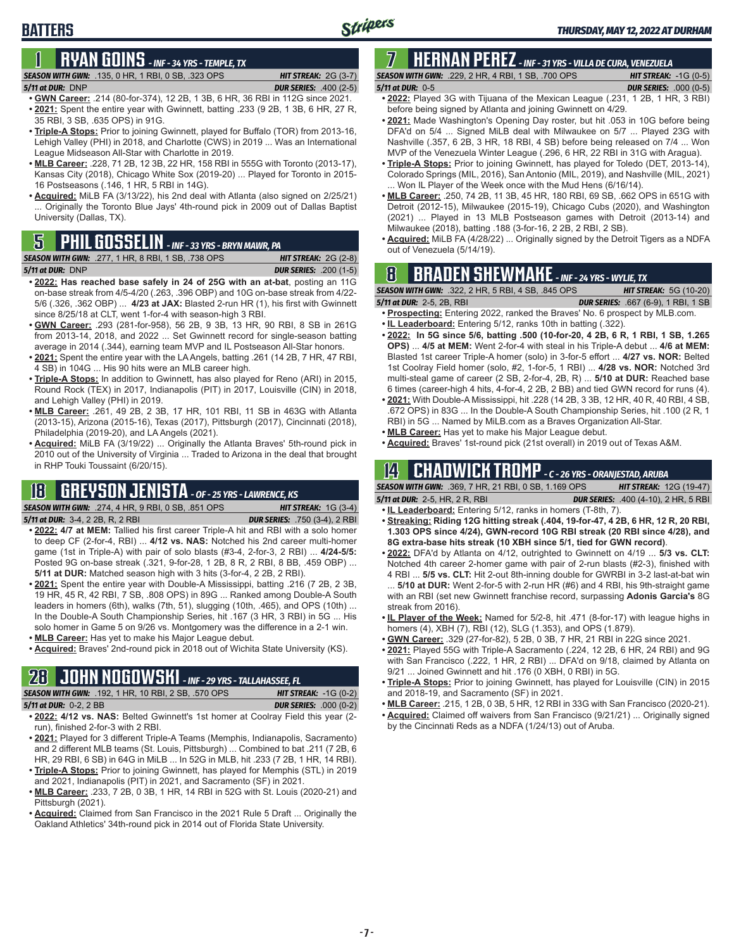## **BATTERS**

# **1 RYAN GOINS** *- INF - 34 YRS - TEMPLE, TX*

#### *SEASON WITH GWN:*.135, 0 HR, 1 RBI, 0 SB, .323 OPS *HIT STREAK:* 2G (3-7) *5/11 at DUR:*DNP *DUR SERIES:* .400 (2-5)

- **• GWN Career:** .214 (80-for-374), 12 2B, 1 3B, 6 HR, 36 RBI in 112G since 2021. **• 2021:** Spent the entire year with Gwinnett, batting .233 (9 2B, 1 3B, 6 HR, 27 R, 35 RBI, 3 SB, .635 OPS) in 91G.
- **• Triple-A Stops:** Prior to joining Gwinnett, played for Buffalo (TOR) from 2013-16, Lehigh Valley (PHI) in 2018, and Charlotte (CWS) in 2019 ... Was an International League Midseason All-Star with Charlotte in 2019.
- **• MLB Career:** .228, 71 2B, 12 3B, 22 HR, 158 RBI in 555G with Toronto (2013-17), Kansas City (2018), Chicago White Sox (2019-20) ... Played for Toronto in 2015- 16 Postseasons (.146, 1 HR, 5 RBI in 14G).
- **• Acquired:** MiLB FA (3/13/22), his 2nd deal with Atlanta (also signed on 2/25/21) ... Originally the Toronto Blue Jays' 4th-round pick in 2009 out of Dallas Baptist University (Dallas, TX).

| <b>SEASON WITH GWN:</b> .277, 1 HR, 8 RBI, 1 SB, .738 OPS ' |  |              |  |  | <b>HIT STREAK: 2G <math>(2-8)</math></b> |
|-------------------------------------------------------------|--|--------------|--|--|------------------------------------------|
| 5/11 at DUR: DNP                                            |  |              |  |  | <b>DUR SERIES:</b> .200 (1-5)            |
| ----- --                                                    |  | ------------ |  |  |                                          |

- **• 2022: Has reached base safely in 24 of 25G with an at-bat**, posting an 11G on-base streak from 4/5-4/20 (.263, .396 OBP) and 10G on-base streak from 4/22- 5/6 (.326, .362 OBP) ... **4/23 at JAX:** Blasted 2-run HR (1), his first with Gwinnett since 8/25/18 at CLT, went 1-for-4 with season-high 3 RBI.
- **• GWN Career:** .293 (281-for-958), 56 2B, 9 3B, 13 HR, 90 RBI, 8 SB in 261G from 2013-14, 2018, and 2022 ... Set Gwinnett record for single-season batting average in 2014 (.344), earning team MVP and IL Postseason All-Star honors.
- **• 2021:** Spent the entire year with the LA Angels, batting .261 (14 2B, 7 HR, 47 RBI, 4 SB) in 104G ... His 90 hits were an MLB career high.
- **• Triple-A Stops:** In addition to Gwinnett, has also played for Reno (ARI) in 2015, Round Rock (TEX) in 2017, Indianapolis (PIT) in 2017, Louisville (CIN) in 2018, and Lehigh Valley (PHI) in 2019.
- **• MLB Career:** .261, 49 2B, 2 3B, 17 HR, 101 RBI, 11 SB in 463G with Atlanta (2013-15), Arizona (2015-16), Texas (2017), Pittsburgh (2017), Cincinnati (2018), Philadelphia (2019-20), and LA Angels (2021).
- **• Acquired:** MiLB FA (3/19/22) ... Originally the Atlanta Braves' 5th-round pick in 2010 out of the University of Virginia ... Traded to Arizona in the deal that brought in RHP Touki Toussaint (6/20/15).

# **18 GREYSON JENISTA** *- OF - 25 YRS - LAWRENCE, KS*

*SEASON WITH GWN:*.274, 4 HR, 9 RBI, 0 SB, .851 OPS *HIT STREAK:* 1G (3-4)

- *5/11 at DUR:*3-4, 2 2B, R, 2 RBI *DUR SERIES:* .750 (3-4), 2 RBI **• 2022: 4/7 at MEM:** Tallied his first career Triple-A hit and RBI with a solo homer to deep CF (2-for-4, RBI) ... **4/12 vs. NAS:** Notched his 2nd career multi-homer game (1st in Triple-A) with pair of solo blasts (#3-4, 2-for-3, 2 RBI) ... **4/24-5/5:**  Posted 9G on-base streak (.321, 9-for-28, 1 2B, 8 R, 2 RBI, 8 BB, .459 OBP) ...
- **5/11 at DUR:** Matched season high with 3 hits (3-for-4, 2 2B, 2 RBI). **• 2021:** Spent the entire year with Double-A Mississippi, batting .216 (7 2B, 2 3B, 19 HR, 45 R, 42 RBI, 7 SB, .808 OPS) in 89G ... Ranked among Double-A South leaders in homers (6th), walks (7th, 51), slugging (10th, .465), and OPS (10th) ... In the Double-A South Championship Series, hit .167 (3 HR, 3 RBI) in 5G ... His solo homer in Game 5 on 9/26 vs. Montgomery was the difference in a 2-1 win.
- **• MLB Career:** Has yet to make his Major League debut.
- **• Acquired:** Braves' 2nd-round pick in 2018 out of Wichita State University (KS).

# **28 JOHN NOGOWSKI** *- INF - 29 YRS - TALLAHASSEE, FL*

| <b>SEASON WITH GWN:</b> .192, 1 HR, 10 RBI, 2 SB, .570 OPS | <b>HIT STREAK:</b> $-1G(0-2)$ |
|------------------------------------------------------------|-------------------------------|
| 5/11 at DUR: 0-2, 2 BB                                     | <b>DUR SERIES:</b> .000 (0-2) |
|                                                            |                               |

- **• 2022: 4/12 vs. NAS:** Belted Gwinnett's 1st homer at Coolray Field this year (2 run), finished 2-for-3 with 2 RBI.
- **• 2021:** Played for 3 different Triple-A Teams (Memphis, Indianapolis, Sacramento) and 2 different MLB teams (St. Louis, Pittsburgh) ... Combined to bat .211 (7 2B, 6 HR, 29 RBI, 6 SB) in 64G in MiLB ... In 52G in MLB, hit .233 (7 2B, 1 HR, 14 RBI).
- **• Triple-A Stops:** Prior to joining Gwinnett, has played for Memphis (STL) in 2019 and 2021, Indianapolis (PIT) in 2021, and Sacramento (SF) in 2021.
- **• MLB Career:** .233, 7 2B, 0 3B, 1 HR, 14 RBI in 52G with St. Louis (2020-21) and Pittsburgh (2021).
- **• Acquired:** Claimed from San Francisco in the 2021 Rule 5 Draft ... Originally the Oakland Athletics' 34th-round pick in 2014 out of Florida State University.

#### **7 HERNAN PEREZ** *- INF - 31 YRS - VILLA DE CURA, VENEZUELA SEASON WITH GWN:*.229, 2 HR, 4 RBI, 1 SB, .700 OPS *HIT STREAK:* -1G (0-5)

- *5/11 at DUR:*0-5 *DUR SERIES:* .000 (0-5) **• 2022:** Played 3G with Tijuana of the Mexican League (.231, 1 2B, 1 HR, 3 RBI) before being signed by Atlanta and joining Gwinnett on 4/29.
- **• 2021:** Made Washington's Opening Day roster, but hit .053 in 10G before being DFA'd on 5/4 ... Signed MiLB deal with Milwaukee on 5/7 ... Played 23G with Nashville (.357, 6 2B, 3 HR, 18 RBI, 4 SB) before being released on 7/4 ... Won MVP of the Venezuela Winter League (.296, 6 HR, 22 RBI in 31G with Aragua).
- **• Triple-A Stops:** Prior to joining Gwinnett, has played for Toledo (DET, 2013-14), Colorado Springs (MIL, 2016), San Antonio (MIL, 2019), and Nashville (MIL, 2021) ... Won IL Player of the Week once with the Mud Hens (6/16/14).
- **• MLB Career:** .250, 74 2B, 11 3B, 45 HR, 180 RBI, 69 SB, .662 OPS in 651G with Detroit (2012-15), Milwaukee (2015-19), Chicago Cubs (2020), and Washington (2021) ... Played in 13 MLB Postseason games with Detroit (2013-14) and Milwaukee (2018), batting .188 (3-for-16, 2 2B, 2 RBI, 2 SB).
- **• Acquired:** MiLB FA (4/28/22) ... Originally signed by the Detroit Tigers as a NDFA **5** out of Venezuela (5/14/19). **PHIL GOSSELIN**  *INF 33 YRS BRYN MAWR, PA*

# **8 BRADEN SHEWMAKE** *- INF - 24 YRS - WYLIE, TX*

*SEASON WITH GWN:*.322, 2 HR, 5 RBI, 4 SB, .845 OPS *HIT STREAK:* 5G (10-20)

- *5/11 at DUR:*2-5, 2B, RBI *DUR SERIES:* .667 (6-9), 1 RBI, 1 SB **• Prospecting:** Entering 2022, ranked the Braves' No. 6 prospect by MLB.com.
- **• IL Leaderboard:** Entering 5/12, ranks 10th in batting (.322).
- **• 2022: In 5G since 5/6, batting .500 (10-for-20, 4 2B, 6 R, 1 RBI, 1 SB, 1.265 OPS)** ... **4/5 at MEM:** Went 2-for-4 with steal in his Triple-A debut ... **4/6 at MEM:**  Blasted 1st career Triple-A homer (solo) in 3-for-5 effort ... **4/27 vs. NOR:** Belted 1st Coolray Field homer (solo, #2, 1-for-5, 1 RBI) ... **4/28 vs. NOR:** Notched 3rd multi-steal game of career (2 SB, 2-for-4, 2B, R) ... **5/10 at DUR:** Reached base 6 times (career-high 4 hits, 4-for-4, 2 2B, 2 BB) and tied GWN record for runs (4).
- **• 2021:** With Double-A Mississippi, hit .228 (14 2B, 3 3B, 12 HR, 40 R, 40 RBI, 4 SB, .672 OPS) in 83G ... In the Double-A South Championship Series, hit .100 (2 R, 1 RBI) in 5G ... Named by MiLB.com as a Braves Organization All-Star.
- **• MLB Career:** Has yet to make his Major League debut.
- **• Acquired:** Braves' 1st-round pick (21st overall) in 2019 out of Texas A&M.

## **14 CHADWICK TROMP** *- C - 26 YRS - ORANJESTAD, ARUBA*

*SEASON WITH GWN:*.369, 7 HR, 21 RBI, 0 SB, 1.169 OPS *HIT STREAK:* 12G (19-47) *5/11 at DUR:*2-5, HR, 2 R, RBI *DUR SERIES:* .400 (4-10), 2 HR, 5 RBI

- **• IL Leaderboard:** Entering 5/12, ranks in homers (T-8th, 7).
- **• Streaking: Riding 12G hitting streak (.404, 19-for-47, 4 2B, 6 HR, 12 R, 20 RBI, 1.303 OPS since 4/24), GWN-record 10G RBI streak (20 RBI since 4/28), and 8G extra-base hits streak (10 XBH since 5/1, tied for GWN record)**.
- **• 2022:** DFA'd by Atlanta on 4/12, outrighted to Gwinnett on 4/19 ... **5/3 vs. CLT:** Notched 4th career 2-homer game with pair of 2-run blasts (#2-3), finished with 4 RBI ... **5/5 vs. CLT:** Hit 2-out 8th-inning double for GWRBI in 3-2 last-at-bat win

... **5/10 at DUR:** Went 2-for-5 with 2-run HR (#6) and 4 RBI, his 9th-straight game with an RBI (set new Gwinnett franchise record, surpassing **Adonis Garcia's** 8G streak from 2016).

- **• IL Player of the Week:** Named for 5/2-8, hit .471 (8-for-17) with league highs in homers (4), XBH (7), RBI (12), SLG (1.353), and OPS (1.879).
- **• GWN Career:** .329 (27-for-82), 5 2B, 0 3B, 7 HR, 21 RBI in 22G since 2021.
- **• 2021:** Played 55G with Triple-A Sacramento (.224, 12 2B, 6 HR, 24 RBI) and 9G with San Francisco (.222, 1 HR, 2 RBI) ... DFA'd on 9/18, claimed by Atlanta on 9/21 ... Joined Gwinnett and hit .176 (0 XBH, 0 RBI) in 5G.
- **• Triple-A Stops:** Prior to joining Gwinnett, has played for Louisville (CIN) in 2015 and 2018-19, and Sacramento (SF) in 2021.
- **• MLB Career:** .215, 1 2B, 0 3B, 5 HR, 12 RBI in 33G with San Francisco (2020-21).
- **• Acquired:** Claimed off waivers from San Francisco (9/21/21) ... Originally signed by the Cincinnati Reds as a NDFA (1/24/13) out of Aruba.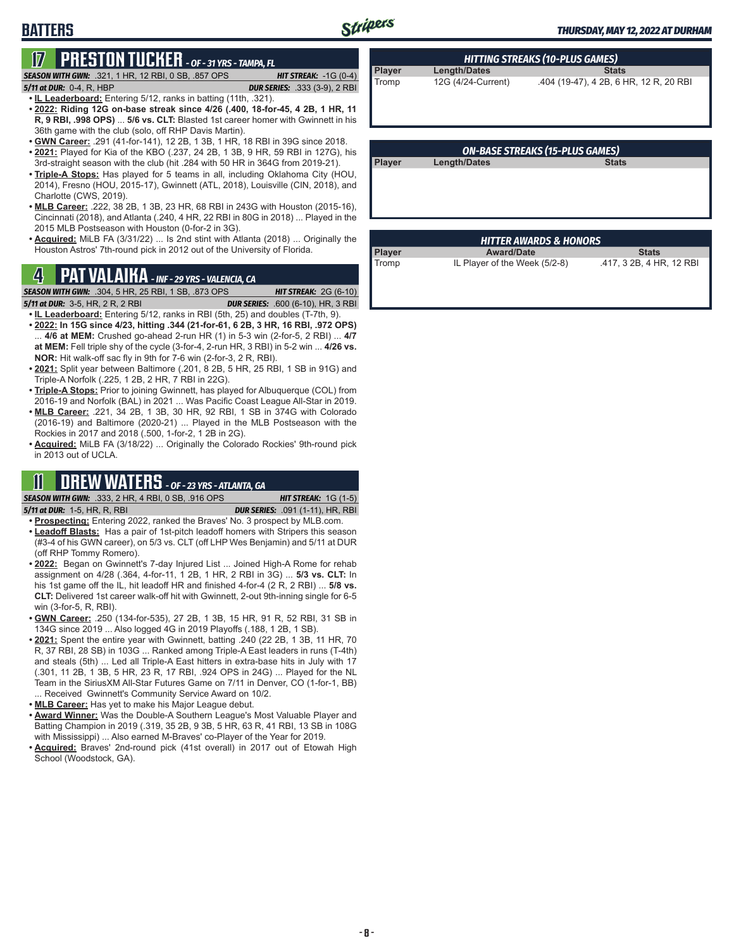## **BATTERS**

# **17 PRESTON TUCKER** *- OF - 31 YRS - TAMPA, FL*

- *SEASON WITH GWN:*.321, 1 HR, 12 RBI, 0 SB, .857 OPS *HIT STREAK:* -1G (0-4)
- *5/11 at DUR:*0-4, R, HBP *DUR SERIES:* .333 (3-9), 2 RBI
- **• IL Leaderboard:** Entering 5/12, ranks in batting (11th, .321). **• 2022: Riding 12G on-base streak since 4/26 (.400, 18-for-45, 4 2B, 1 HR, 11 R, 9 RBI, .998 OPS)** ... **5/6 vs. CLT:** Blasted 1st career homer with Gwinnett in his 36th game with the club (solo, off RHP Davis Martin).
- **• GWN Career:** .291 (41-for-141), 12 2B, 1 3B, 1 HR, 18 RBI in 39G since 2018.
- **• 2021:** Played for Kia of the KBO (.237, 24 2B, 1 3B, 9 HR, 59 RBI in 127G), his 3rd-straight season with the club (hit .284 with 50 HR in 364G from 2019-21).
- **• Triple-A Stops:** Has played for 5 teams in all, including Oklahoma City (HOU, 2014), Fresno (HOU, 2015-17), Gwinnett (ATL, 2018), Louisville (CIN, 2018), and Charlotte (CWS, 2019).
- **• MLB Career:** .222, 38 2B, 1 3B, 23 HR, 68 RBI in 243G with Houston (2015-16), Cincinnati (2018), and Atlanta (.240, 4 HR, 22 RBI in 80G in 2018) ... Played in the 2015 MLB Postseason with Houston (0-for-2 in 3G).
- **• Acquired:** MiLB FA (3/31/22) ... Is 2nd stint with Atlanta (2018) ... Originally the Houston Astros' 7th-round pick in 2012 out of the University of Florida.

## **4 PAT VALAIKA** *- INF - 29 YRS - VALENCIA, CA*

*SEASON WITH GWN:*.304, 5 HR, 25 RBI, 1 SB, .873 OPS *HIT STREAK:* 2G (6-10)

*5/11 at DUR:*3-5, HR, 2 R, 2 RBI *DUR SERIES:* .600 (6-10), HR, 3 RBI

- **• IL Leaderboard:** Entering 5/12, ranks in RBI (5th, 25) and doubles (T-7th, 9). **• 2022: In 15G since 4/23, hitting .344 (21-for-61, 6 2B, 3 HR, 16 RBI, .972 OPS)** ... **4/6 at MEM:** Crushed go-ahead 2-run HR (1) in 5-3 win (2-for-5, 2 RBI) ... **4/7 at MEM:** Fell triple shy of the cycle (3-for-4, 2-run HR, 3 RBI) in 5-2 win ... **4/26 vs. NOR:** Hit walk-off sac fly in 9th for 7-6 win (2-for-3, 2 R, RBI).
- **• 2021:** Split year between Baltimore (.201, 8 2B, 5 HR, 25 RBI, 1 SB in 91G) and Triple-A Norfolk (.225, 1 2B, 2 HR, 7 RBI in 22G).
- **• Triple-A Stops:** Prior to joining Gwinnett, has played for Albuquerque (COL) from 2016-19 and Norfolk (BAL) in 2021 ... Was Pacific Coast League All-Star in 2019.
- **• MLB Career:** .221, 34 2B, 1 3B, 30 HR, 92 RBI, 1 SB in 374G with Colorado (2016-19) and Baltimore (2020-21) ... Played in the MLB Postseason with the Rockies in 2017 and 2018 (.500, 1-for-2, 1 2B in 2G).
- **• Acquired:** MiLB FA (3/18/22) ... Originally the Colorado Rockies' 9th-round pick in 2013 out of UCLA.

## **11 DREW WATERS** *- OF - 23 YRS - ATLANTA, GA*

*SEASON WITH GWN:*.333, 2 HR, 4 RBI, 0 SB, .916 OPS *HIT STREAK:* 1G (1-5)

- *5/11 at DUR:*1-5, HR, R, RBI *DUR SERIES:* .091 (1-11), HR, RBI **• Prospecting:** Entering 2022, ranked the Braves' No. 3 prospect by MLB.com. **• Leadoff Blasts:** Has a pair of 1st-pitch leadoff homers with Stripers this season (#3-4 of his GWN career), on 5/3 vs. CLT (off LHP Wes Benjamin) and 5/11 at DUR
- (off RHP Tommy Romero). **• 2022:** Began on Gwinnett's 7-day Injured List ... Joined High-A Rome for rehab assignment on 4/28 (.364, 4-for-11, 1 2B, 1 HR, 2 RBI in 3G) ... **5/3 vs. CLT:** In his 1st game off the IL, hit leadoff HR and finished 4-for-4 (2 R, 2 RBI) ... **5/8 vs.**
- **CLT:** Delivered 1st career walk-off hit with Gwinnett, 2-out 9th-inning single for 6-5 win (3-for-5, R, RBI). **• GWN Career:** .250 (134-for-535), 27 2B, 1 3B, 15 HR, 91 R, 52 RBI, 31 SB in
- 134G since 2019 ... Also logged 4G in 2019 Playoffs (.188, 1 2B, 1 SB). **• 2021:** Spent the entire year with Gwinnett, batting .240 (22 2B, 1 3B, 11 HR, 70
- R, 37 RBI, 28 SB) in 103G ... Ranked among Triple-A East leaders in runs (T-4th) and steals (5th) ... Led all Triple-A East hitters in extra-base hits in July with 17 (.301, 11 2B, 1 3B, 5 HR, 23 R, 17 RBI, .924 OPS in 24G) ... Played for the NL Team in the SiriusXM All-Star Futures Game on 7/11 in Denver, CO (1-for-1, BB) ... Received Gwinnett's Community Service Award on 10/2.
- **• MLB Career:** Has yet to make his Major League debut.
- **• Award Winner:** Was the Double-A Southern League's Most Valuable Player and Batting Champion in 2019 (.319, 35 2B, 9 3B, 5 HR, 63 R, 41 RBI, 13 SB in 108G with Mississippi) ... Also earned M-Braves' co-Player of the Year for 2019.
- **• Acquired:** Braves' 2nd-round pick (41st overall) in 2017 out of Etowah High School (Woodstock, GA).

| <b>HITTING STREAKS (10-PLUS GAMES)</b> |                     |                                        |  |  |  |  |
|----------------------------------------|---------------------|----------------------------------------|--|--|--|--|
| Player                                 | <b>Length/Dates</b> | <b>Stats</b>                           |  |  |  |  |
| Tromp                                  | 12G (4/24-Current)  | .404 (19-47), 4 2B, 6 HR, 12 R, 20 RBI |  |  |  |  |

| <b>ON-BASE STREAKS (15-PLUS GAMES)</b> |              |              |  |  |  |
|----------------------------------------|--------------|--------------|--|--|--|
| <b>Player</b>                          | Length/Dates | <b>Stats</b> |  |  |  |
|                                        |              |              |  |  |  |
|                                        |              |              |  |  |  |
|                                        |              |              |  |  |  |

| <b>HITTER AWARDS &amp; HONORS</b> |                               |                          |  |  |  |  |
|-----------------------------------|-------------------------------|--------------------------|--|--|--|--|
| Player                            | <b>Award/Date</b>             | <b>Stats</b>             |  |  |  |  |
| Tromp                             | IL Player of the Week (5/2-8) | .417, 3 2B, 4 HR, 12 RBI |  |  |  |  |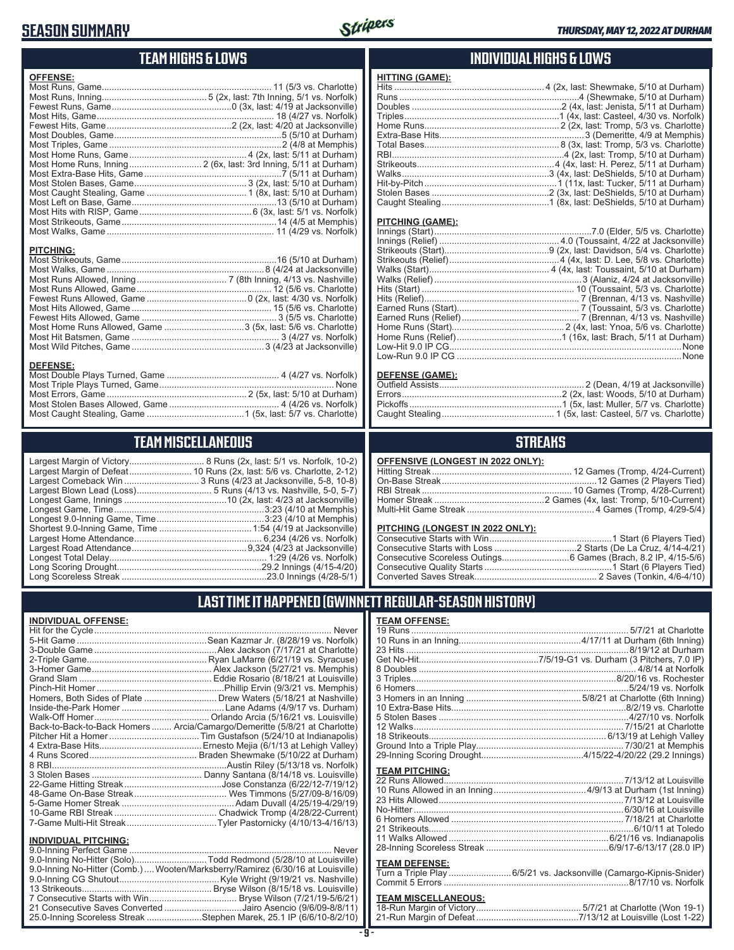## **SEASON SUMMARY**



## **TEAM HIGHS & LOWS**

| <b>OFFENSE:</b>                                                  |  |
|------------------------------------------------------------------|--|
|                                                                  |  |
|                                                                  |  |
|                                                                  |  |
|                                                                  |  |
|                                                                  |  |
|                                                                  |  |
|                                                                  |  |
|                                                                  |  |
| Most Home Runs, Inning  2 (6x, last: 3rd Inning, 5/11 at Durham) |  |
|                                                                  |  |
|                                                                  |  |
|                                                                  |  |
|                                                                  |  |
|                                                                  |  |
|                                                                  |  |
|                                                                  |  |
|                                                                  |  |

#### **PITCHING:**

#### **DEFENSE:**

## **TEAM MISCELLANEOUS**

| Largest Margin of Victory       |
|---------------------------------|
| Largest Margin of Defeat        |
| Largest Comeback Win            |
| Largest Blown Lead (Loss)       |
| Longest Game, Innings           |
| Longest Game, Time              |
| Longest 9.0-Inning Game, Time   |
| Shortest 9.0-Inning Game, Time. |
| Largest Home Attendance         |
| Largest Road Attendance         |
| Longest Total Delay             |
| Long Scoring Drought            |
| Long Scoreless Streak           |

Largest Margin of Victory.............................. 8 Runs (2x, last: 5/1 vs. Norfolk, 10-2) ............. 10 Runs (2x, last: 5/6 vs. Charlotte, 2-12) ................... 3 Runs (4/23 at Jacksonville, 5-8, 10-8) ....................... 5 Runs (4/13 vs. Nashville, 5-0, 5-7) ..............................10 (2x, last: 4/23 at Jacksonville) Longest Game, Time ............................................................3:23 (4/10 at Memphis) Longest 9.0-Inning Game, Time ...........................................3:23 (4/10 at Memphis) Shortest 9.0-Inning Game, Time .....................................1:54 (4/19 at Jacksonville) Largest Home Attendance ................................................... 6,234 (4/26 vs. Norfolk) Largest Road Attendance ..............................................9,324 (4/23 at Jacksonville) Longest Total Delay............................................................... 1:29 (4/26 vs. Norfolk) Long Scoring Drought..........................................................29.2 Innings (4/15-4/20) Long Scoreless Streak ..........................................................23.0 Innings (4/28-5/1)

### **INDIVIDUAL HIGHS & LOWS**

| HITTING (GAME): |  |
|-----------------|--|
|                 |  |
|                 |  |
|                 |  |
|                 |  |
|                 |  |
|                 |  |
|                 |  |
|                 |  |
|                 |  |
|                 |  |
|                 |  |
|                 |  |
|                 |  |
|                 |  |

#### **PITCHING (GAME):**

#### **DEFENSE (GAME):**

### **STREAKS**

**OFFENSIVE (LONGEST IN 2022 ONLY):**

#### **PITCHING (LONGEST IN 2022 ONLY):**

19 Runs ....................................................................................... 5/7/21 at Charlotte 10 Runs in an Inning.................................................4/17/11 at Durham (6th Inning)

## **LAST TIME IT HAPPENED (GWINNETT REGULAR-SEASON HISTORY)**

**TEAM OFFENSE:**

#### **INDIVIDUAL OFFENSE:**

|                             | Homers, Both Sides of Plate  Drew Waters (5/18/21 at Nashville)            |
|-----------------------------|----------------------------------------------------------------------------|
|                             |                                                                            |
|                             |                                                                            |
|                             | Back-to-Back-to-Back Homers  Arcia/Camargo/Demeritte (5/8/21 at Charlotte) |
|                             |                                                                            |
|                             |                                                                            |
|                             |                                                                            |
|                             |                                                                            |
|                             |                                                                            |
|                             |                                                                            |
|                             |                                                                            |
|                             |                                                                            |
|                             |                                                                            |
|                             |                                                                            |
| <b>INDIVIDUAL PITCHING:</b> |                                                                            |
|                             |                                                                            |

| 9.0-Inning No-Hitter (Solo)Todd Redmond (5/28/10 at Louisville)                |  |
|--------------------------------------------------------------------------------|--|
| 9.0-Inning No-Hitter (Comb.) Wooten/Marksberry/Ramirez (6/30/16 at Louisville) |  |
|                                                                                |  |
|                                                                                |  |
|                                                                                |  |
| 21 Consecutive Saves Converted Jairo Asencio (9/6/09-8/8/11)                   |  |
| 25.0-Inning Scoreless Streak Stephen Marek, 25.1 IP (6/6/10-8/2/10)            |  |
|                                                                                |  |

#### **- 9 -**

| No-Hitter …………………………………………………………………………………6/30/16 at Louisville |
|----------------------------------------------------------------|
|                                                                |
|                                                                |
|                                                                |
|                                                                |
|                                                                |

#### **TEAM DEFENSE:**

| __________________ |                                                                    |
|--------------------|--------------------------------------------------------------------|
|                    | Turn a Triple Play 6/5/21 vs. Jacksonville (Camargo-Kipnis-Snider) |
|                    |                                                                    |

# **TEAM MISCELLANEOUS:**<br>18-Run Margin of Victory....